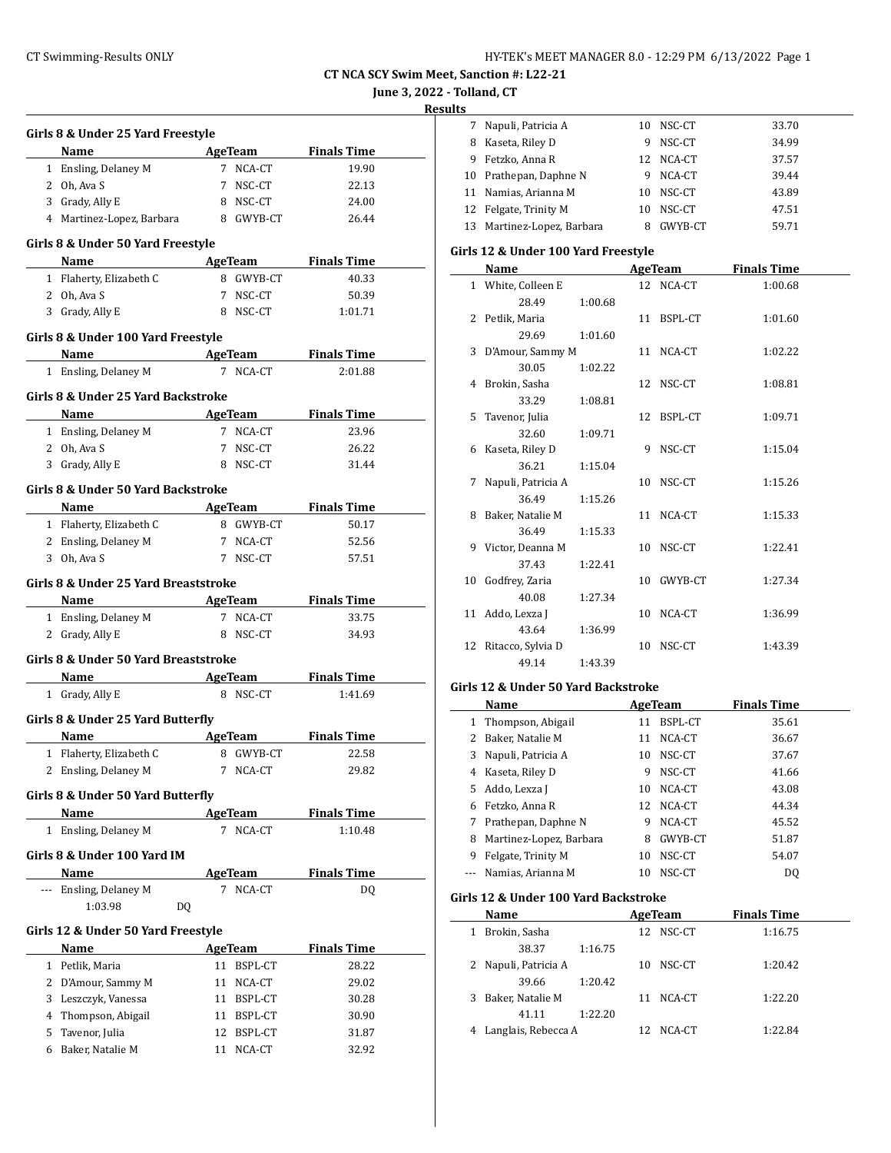#### **June 3, 2022 - Tolland, CT**

**Results**

|   | Girls 8 & Under 25 Yard Freestyle    |                             |                    |
|---|--------------------------------------|-----------------------------|--------------------|
|   | Name                                 | AgeTeam Finals Time         |                    |
|   | 1 Ensling, Delaney M                 | 7 NCA-CT                    | 19.90              |
|   | 2 Oh, Ava S                          | NSC-CT<br>7                 | 22.13              |
|   | 3 Grady, Ally E                      | 8 NSC-CT                    | 24.00              |
|   | 4 Martinez-Lopez, Barbara 8 GWYB-CT  |                             | 26.44              |
|   | Girls 8 & Under 50 Yard Freestyle    |                             |                    |
|   | Name                                 | <b>AgeTeam</b>              | <b>Finals Time</b> |
|   | 1 Flaherty, Elizabeth C              | 8 GWYB-CT                   | 40.33              |
|   | 2 Oh, Ava S                          | 7 NSC-CT                    | 50.39              |
|   | 3 Grady, Ally E                      | 8 NSC-CT                    | 1:01.71            |
|   |                                      |                             |                    |
|   | Girls 8 & Under 100 Yard Freestyle   |                             |                    |
|   | Name                                 | <b>Example 2018</b> AgeTeam | <b>Finals Time</b> |
|   | 1 Ensling, Delaney M                 | 7 NCA-CT                    | 2:01.88            |
|   | Girls 8 & Under 25 Yard Backstroke   |                             |                    |
|   | Name                                 | AgeTeam Finals Time         |                    |
|   | 1 Ensling, Delaney M                 | 7 NCA-CT                    | 23.96              |
|   | 2 Oh, Ava S                          | $7^{\circ}$<br>NSC-CT       | 26.22              |
|   | 3 Grady, Ally E                      | 8 NSC-CT                    | 31.44              |
|   |                                      |                             |                    |
|   | Girls 8 & Under 50 Yard Backstroke   |                             |                    |
|   | Name                                 | AgeTeam                     | <b>Finals Time</b> |
|   | 1 Flaherty, Elizabeth C              | 8 GWYB-CT                   | 50.17              |
|   | 2 Ensling, Delaney M                 | 7 NCA-CT                    | 52.56              |
|   | 3 Oh, Ava S                          | 7 NSC-CT                    | 57.51              |
|   | Girls 8 & Under 25 Yard Breaststroke |                             |                    |
|   | Name                                 | <b>AgeTeam</b>              | <b>Finals Time</b> |
|   | 1 Ensling, Delaney M                 | 7 NCA-CT                    | 33.75              |
|   | 2 Grady, Ally E                      | 8 NSC-CT                    | 34.93              |
|   |                                      |                             |                    |
|   | Girls 8 & Under 50 Yard Breaststroke |                             |                    |
|   | Name                                 | <b>Example 2</b> AgeTeam    | <b>Finals Time</b> |
|   | 1 Grady, Ally E                      | 8 NSC-CT                    | 1:41.69            |
|   | Girls 8 & Under 25 Yard Butterfly    |                             |                    |
|   | Name                                 | AgeTeam                     | <b>Finals Time</b> |
|   | 1 Flaherty, Elizabeth C              | 8 GWYB-CT                   | 22.58              |
|   | 2 Ensling, Delaney M                 | 7<br>NCA-CT                 | 29.82              |
|   | Girls 8 & Under 50 Yard Butterfly    |                             |                    |
|   | Name                                 | <b>AgeTeam</b>              | <b>Finals Time</b> |
|   | 1 Ensling, Delaney M                 | NCA-CT<br>7                 | 1:10.48            |
|   |                                      |                             |                    |
|   | Girls 8 & Under 100 Yard IM          |                             |                    |
|   | Name                                 | <b>AgeTeam</b>              | <b>Finals Time</b> |
|   | Ensling, Delaney M                   | NCA-CT<br>7                 | DQ                 |
|   | 1:03.98<br>DQ                        |                             |                    |
|   | Girls 12 & Under 50 Yard Freestyle   |                             |                    |
|   | Name                                 | <b>AgeTeam</b>              | <b>Finals Time</b> |
|   | 1 Petlik, Maria                      | 11 BSPL-CT                  | 28.22              |
| 2 | D'Amour, Sammy M                     | 11<br>NCA-CT                | 29.02              |
| 3 |                                      | 11 BSPL-CT                  |                    |
|   | Leszczyk, Vanessa                    |                             | 30.28              |
| 4 | Thompson, Abigail                    | 11<br>BSPL-CT               | 30.90              |
| 5 | Tavenor, Julia                       | BSPL-CT<br>12               | 31.87              |
| 6 | Baker, Natalie M                     | 11<br>NCA-CT                | 32.92              |
|   |                                      |                             |                    |

| - |                            |     |         |       |
|---|----------------------------|-----|---------|-------|
| 7 | Napuli, Patricia A         | 10  | NSC-CT  | 33.70 |
| 8 | Kaseta, Riley D            | 9   | NSC-CT  | 34.99 |
| 9 | Fetzko, Anna R             | 12. | NCA-CT  | 37.57 |
|   | 10 Prathepan, Daphne N     | 9   | NCA-CT  | 39.44 |
|   | 11 Namias, Arianna M       | 10  | NSC-CT  | 43.89 |
|   | 12 Felgate, Trinity M      | 10  | NSC-CT  | 47.51 |
|   | 13 Martinez-Lopez, Barbara | 8   | GWYB-CT | 59.71 |
|   |                            |     |         |       |

### **Girls 12 & Under 100 Yard Freestyle**

|   | Name                 |         | AgeTeam    | <b>Finals Time</b> |
|---|----------------------|---------|------------|--------------------|
|   | 1 White, Colleen E   |         | 12 NCA-CT  | 1:00.68            |
|   | 28.49                | 1:00.68 |            |                    |
|   | 2 Petlik, Maria      |         | 11 BSPL-CT | 1:01.60            |
|   | 29.69                | 1:01.60 |            |                    |
|   | 3 D'Amour, Sammy M   |         | 11 NCA-CT  | 1:02.22            |
|   | 30.05                | 1:02.22 |            |                    |
|   | 4 Brokin, Sasha      |         | 12 NSC-CT  | 1:08.81            |
|   | 33.29                | 1:08.81 |            |                    |
|   | 5 Tavenor, Julia     |         | 12 BSPL-CT | 1:09.71            |
|   | 32.60                | 1:09.71 |            |                    |
|   | 6 Kaseta, Riley D    |         | 9 NSC-CT   | 1:15.04            |
|   | 36.21                | 1:15.04 |            |                    |
| 7 | Napuli, Patricia A   |         | 10 NSC-CT  | 1:15.26            |
|   | 36.49                | 1:15.26 |            |                    |
|   | 8 Baker, Natalie M   |         | 11 NCA-CT  | 1:15.33            |
|   | 36.49                | 1:15.33 |            |                    |
|   | 9 Victor, Deanna M   |         | 10 NSC-CT  | 1:22.41            |
|   | 37.43                | 1:22.41 |            |                    |
|   | 10 Godfrey, Zaria    |         | 10 GWYB-CT | 1:27.34            |
|   | 40.08                | 1:27.34 |            |                    |
|   | 11 Addo, Lexza J     |         | 10 NCA-CT  | 1:36.99            |
|   | 43.64                | 1:36.99 |            |                    |
|   | 12 Ritacco, Sylvia D |         | 10 NSC-CT  | 1:43.39            |
|   | 49.14                | 1:43.39 |            |                    |

### **Girls 12 & Under 50 Yard Backstroke**

| Name         |                         |    | AgeTeam | <b>Finals Time</b> |  |
|--------------|-------------------------|----|---------|--------------------|--|
| $\mathbf{1}$ | Thompson, Abigail       | 11 | BSPL-CT | 35.61              |  |
| 2            | Baker, Natalie M        | 11 | NCA-CT  | 36.67              |  |
| 3            | Napuli, Patricia A      | 10 | NSC-CT  | 37.67              |  |
| 4            | Kaseta, Riley D         | 9  | NSC-CT  | 41.66              |  |
| 5.           | Addo, Lexza J           | 10 | NCA-CT  | 43.08              |  |
| 6.           | Fetzko, Anna R          | 12 | NCA-CT  | 44.34              |  |
| 7            | Prathepan, Daphne N     | 9  | NCA-CT  | 45.52              |  |
| 8            | Martinez-Lopez, Barbara | 8  | GWYB-CT | 51.87              |  |
| 9            | Felgate, Trinity M      | 10 | NSC-CT  | 54.07              |  |
|              | Namias, Arianna M       | 10 | NSC-CT  | D0                 |  |

# **Girls 12 & Under 100 Yard Backstroke**

| Name                     | AgeTeam |     |        | <b>Finals Time</b> |  |
|--------------------------|---------|-----|--------|--------------------|--|
| Brokin, Sasha<br>1       |         | 12  | NSC-CT | 1:16.75            |  |
| 38.37                    | 1:16.75 |     |        |                    |  |
| 2 Napuli, Patricia A     |         | 10. | NSC-CT | 1:20.42            |  |
| 39.66                    | 1:20.42 |     |        |                    |  |
| Baker, Natalie M<br>3    |         | 11  | NCA-CT | 1:22.20            |  |
| 41.11                    | 1:22.20 |     |        |                    |  |
| Langlais, Rebecca A<br>4 |         |     | NCA-CT | 1.2284             |  |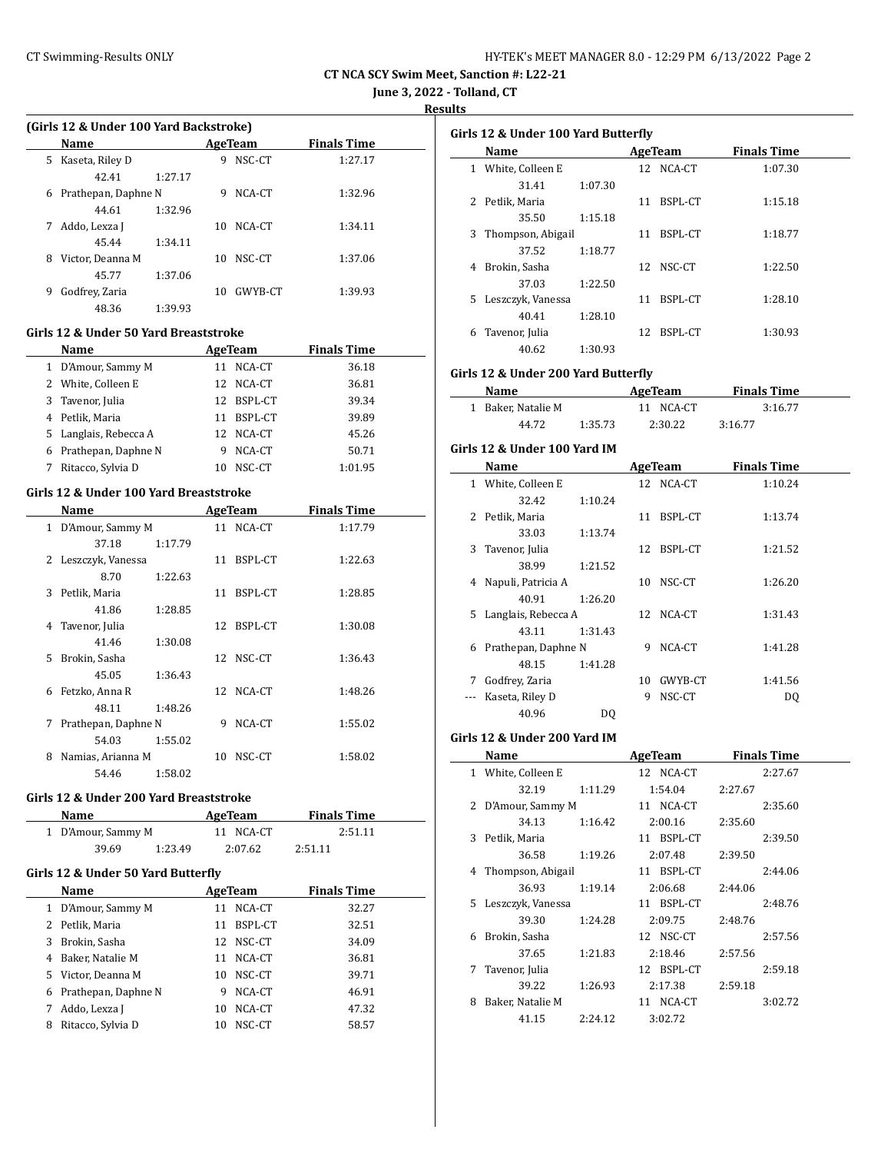| HY-TEK's MEET MANAGER 8.0 - 12:29 PM 6/13/2022 Page 2 |  |  |  |
|-------------------------------------------------------|--|--|--|
|-------------------------------------------------------|--|--|--|

**June 3, 2022 - Tolland, CT**

**Results**

|  |  |  | (Girls 12 & Under 100 Yard Backstroke) |
|--|--|--|----------------------------------------|
|--|--|--|----------------------------------------|

|   | <b>Name</b>         | AgeTeam |    |         | <b>Finals Time</b> |  |  |
|---|---------------------|---------|----|---------|--------------------|--|--|
|   | 5 Kaseta, Riley D   |         | 9  | NSC-CT  | 1:27.17            |  |  |
|   | 42.41               | 1:27.17 |    |         |                    |  |  |
| 6 | Prathepan, Daphne N |         | 9  | NCA-CT  | 1:32.96            |  |  |
|   | 44.61               | 1:32.96 |    |         |                    |  |  |
| 7 | Addo, Lexza J       |         | 10 | NCA-CT  | 1:34.11            |  |  |
|   | 45.44               | 1:34.11 |    |         |                    |  |  |
| 8 | Victor, Deanna M    |         | 10 | NSC-CT  | 1:37.06            |  |  |
|   | 45.77               | 1:37.06 |    |         |                    |  |  |
| 9 | Godfrey, Zaria      |         | 10 | GWYB-CT | 1:39.93            |  |  |
|   | 48.36               | 1:39.93 |    |         |                    |  |  |

#### **Girls 12 & Under 50 Yard Breaststroke**

| <b>Name</b>           | AgeTeam |            | <b>Finals Time</b> |
|-----------------------|---------|------------|--------------------|
| 1 D'Amour, Sammy M    | 11      | NCA-CT     | 36.18              |
| 2 White, Colleen E    |         | 12 NCA-CT  | 36.81              |
| 3 Tavenor, Julia      |         | 12 BSPL-CT | 39.34              |
| 4 Petlik, Maria       | 11      | BSPL-CT    | 39.89              |
| 5 Langlais, Rebecca A |         | 12 NCA-CT  | 45.26              |
| 6 Prathepan, Daphne N |         | NCA-CT     | 50.71              |
| Ritacco, Sylvia D     | 10      | NSC-CT     | 1:01.95            |

### **Girls 12 & Under 100 Yard Breaststroke**

|              | Name                |         |    | AgeTeam   | <b>Finals Time</b> |
|--------------|---------------------|---------|----|-----------|--------------------|
| $\mathbf{1}$ | D'Amour, Sammy M    |         |    | 11 NCA-CT | 1:17.79            |
|              | 37.18               | 1:17.79 |    |           |                    |
| 2            | Leszczyk, Vanessa   |         | 11 | BSPL-CT   | 1:22.63            |
|              | 8.70                | 1:22.63 |    |           |                    |
| 3            | Petlik, Maria       |         | 11 | BSPL-CT   | 1:28.85            |
|              | 41.86               | 1:28.85 |    |           |                    |
| 4            | Tavenor, Julia      |         | 12 | BSPL-CT   | 1:30.08            |
|              | 41.46               | 1:30.08 |    |           |                    |
| 5.           | Brokin, Sasha       |         |    | 12 NSC-CT | 1:36.43            |
|              | 45.05               | 1:36.43 |    |           |                    |
| 6            | Fetzko, Anna R      |         |    | 12 NCA-CT | 1:48.26            |
|              | 48.11               | 1:48.26 |    |           |                    |
| 7            | Prathepan, Daphne N |         | 9  | NCA-CT    | 1:55.02            |
|              | 54.03               | 1:55.02 |    |           |                    |
| 8            | Namias, Arianna M   |         | 10 | NSC-CT    | 1:58.02            |
|              | 54.46               | 1:58.02 |    |           |                    |

#### **Girls 12 & Under 200 Yard Breaststroke**

| <b>Name</b>                        |         | AgeTeam   | <b>Finals Time</b> |  |  |  |  |
|------------------------------------|---------|-----------|--------------------|--|--|--|--|
| 1 D'Amour, Sammy M                 |         | 11 NCA-CT | 2:51.11            |  |  |  |  |
| 39.69                              | 1:23.49 | 2:07.62   | 2:51.11            |  |  |  |  |
| Girls 12 & Under 50 Yard Butterfly |         |           |                    |  |  |  |  |

|    | Name                |    | AgeTeam   | <b>Finals Time</b> |  |
|----|---------------------|----|-----------|--------------------|--|
|    | 1 D'Amour, Sammy M  | 11 | NCA-CT    | 32.27              |  |
|    | 2 Petlik, Maria     | 11 | BSPL-CT   | 32.51              |  |
| 3  | Brokin, Sasha       |    | 12 NSC-CT | 34.09              |  |
| 4  | Baker, Natalie M    | 11 | NCA-CT    | 36.81              |  |
| 5. | Victor, Deanna M    |    | 10 NSC-CT | 39.71              |  |
| 6  | Prathepan, Daphne N | 9  | NCA-CT    | 46.91              |  |
|    | Addo, Lexza J       | 10 | NCA-CT    | 47.32              |  |
| 8  | Ritacco, Sylvia D   | 10 | NSC-CT    | 58.57              |  |

| Girls 12 & Under 100 Yard Butterfly |                   |         |    |           |                    |  |  |  |
|-------------------------------------|-------------------|---------|----|-----------|--------------------|--|--|--|
| Name                                |                   |         |    | AgeTeam   | <b>Finals Time</b> |  |  |  |
| 1                                   | White, Colleen E  |         |    | 12 NCA-CT | 1:07.30            |  |  |  |
|                                     | 31.41             | 1:07.30 |    |           |                    |  |  |  |
| 2                                   | Petlik, Maria     |         | 11 | BSPL-CT   | 1:15.18            |  |  |  |
|                                     | 35.50             | 1:15.18 |    |           |                    |  |  |  |
| 3                                   | Thompson, Abigail |         | 11 | BSPL-CT   | 1:18.77            |  |  |  |
|                                     | 37.52             | 1:18.77 |    |           |                    |  |  |  |
| 4                                   | Brokin, Sasha     |         |    | 12 NSC-CT | 1:22.50            |  |  |  |
|                                     | 37.03             | 1:22.50 |    |           |                    |  |  |  |
| 5.                                  | Leszczyk, Vanessa |         | 11 | BSPL-CT   | 1:28.10            |  |  |  |
|                                     | 40.41             | 1:28.10 |    |           |                    |  |  |  |
| 6                                   | Tavenor, Julia    |         | 12 | BSPL-CT   | 1:30.93            |  |  |  |
|                                     | 40.62             | 1:30.93 |    |           |                    |  |  |  |

### **Girls 12 & Under 200 Yard Butterfly**

| Name               |         | AgeTeam   | <b>Finals Time</b> |  |
|--------------------|---------|-----------|--------------------|--|
| 1 Baker, Natalie M |         | 11 NCA-CT | 3:16.77            |  |
| 44.72              | 1:35.73 | 2:30.22   | 3:16.77            |  |

# **Girls 12 & Under 100 Yard IM**

|   | Name                  |         |    | <b>AgeTeam</b> | <b>Finals Time</b> |  |
|---|-----------------------|---------|----|----------------|--------------------|--|
|   | 1 White, Colleen E    |         |    | 12 NCA-CT      | 1:10.24            |  |
|   | 32.42                 | 1:10.24 |    |                |                    |  |
|   | 2 Petlik, Maria       |         | 11 | BSPL-CT        | 1:13.74            |  |
|   | 33.03                 | 1:13.74 |    |                |                    |  |
| 3 | Tavenor, Julia        |         | 12 | BSPL-CT        | 1:21.52            |  |
|   | 38.99                 | 1:21.52 |    |                |                    |  |
| 4 | Napuli, Patricia A    |         | 10 | NSC-CT         | 1:26.20            |  |
|   | 40.91                 | 1:26.20 |    |                |                    |  |
|   | 5 Langlais, Rebecca A |         |    | 12 NCA-CT      | 1:31.43            |  |
|   | 43.11                 | 1:31.43 |    |                |                    |  |
| 6 | Prathepan, Daphne N   |         | 9  | NCA-CT         | 1:41.28            |  |
|   | 48.15                 | 1:41.28 |    |                |                    |  |
| 7 | Godfrey, Zaria        |         | 10 | GWYB-CT        | 1:41.56            |  |
|   | Kaseta, Riley D       |         | 9  | NSC-CT         | DQ                 |  |
|   | 40.96                 | DO      |    |                |                    |  |

#### **Girls 12 & Under 200 Yard IM**

|    | Name              |         | <b>AgeTeam</b> |         | <b>Finals Time</b> |
|----|-------------------|---------|----------------|---------|--------------------|
| 1  | White, Colleen E  |         | 12 NCA-CT      |         | 2:27.67            |
|    | 32.19             | 1:11.29 | 1:54.04        | 2:27.67 |                    |
| 2  | D'Amour, Sammy M  |         | 11 NCA-CT      |         | 2:35.60            |
|    | 34.13             | 1:16.42 | 2:00.16        | 2:35.60 |                    |
| 3  | Petlik, Maria     |         | 11 BSPL-CT     |         | 2:39.50            |
|    | 36.58             | 1:19.26 | 2:07.48        | 2:39.50 |                    |
| 4  | Thompson, Abigail |         | 11 BSPL-CT     |         | 2:44.06            |
|    | 36.93             | 1:19.14 | 2:06.68        | 2:44.06 |                    |
| 5. | Leszczyk, Vanessa |         | 11 BSPL-CT     |         | 2:48.76            |
|    | 39.30             | 1:24.28 | 2:09.75        | 2:48.76 |                    |
| 6  | Brokin, Sasha     |         | 12 NSC-CT      |         | 2:57.56            |
|    | 37.65             | 1:21.83 | 2:18.46        | 2:57.56 |                    |
| 7  | Tavenor, Julia    |         | 12 BSPL-CT     |         | 2:59.18            |
|    | 39.22             | 1:26.93 | 2:17.38        | 2:59.18 |                    |
| 8  | Baker, Natalie M  |         | 11 NCA-CT      |         | 3:02.72            |
|    | 41.15             | 2:24.12 | 3:02.72        |         |                    |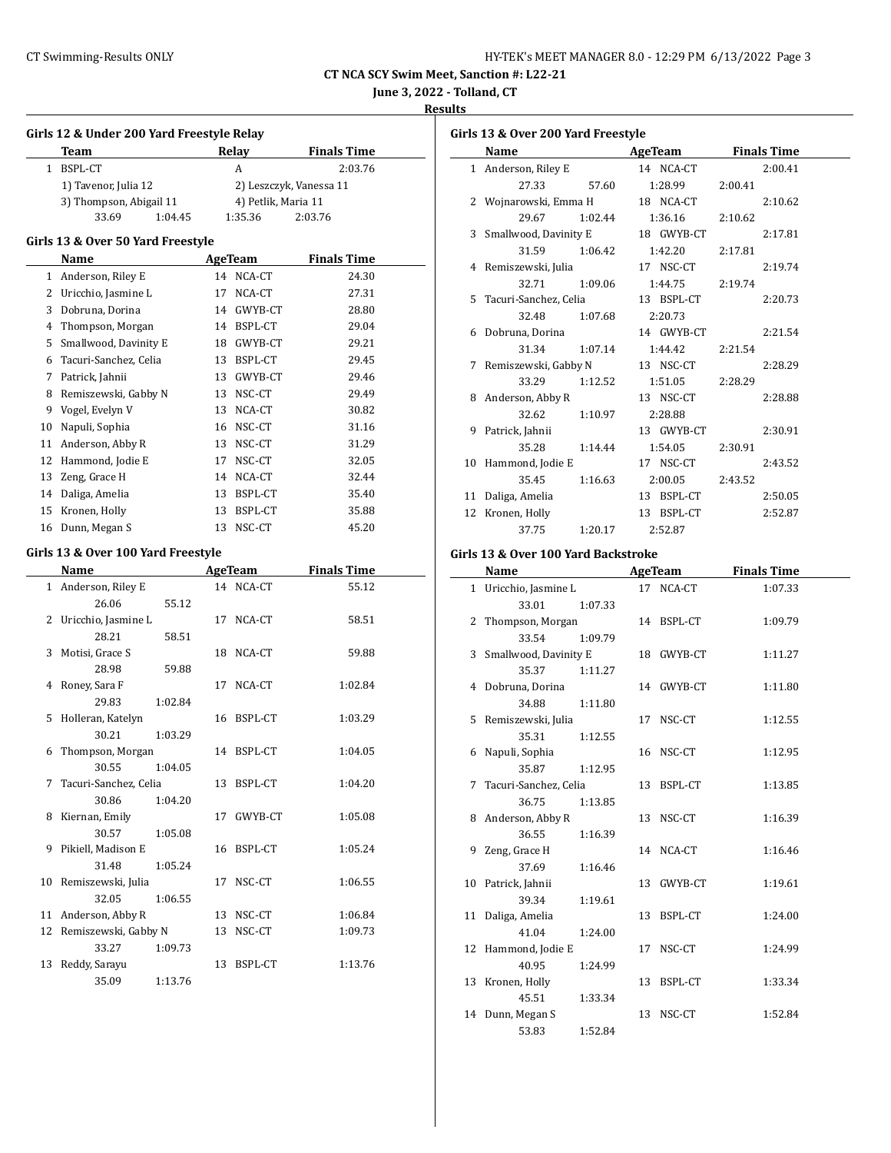| HY-TEK's MEET MANAGER 8.0 - 12:29 PM 6/13/2022 Page 3 |  |  |
|-------------------------------------------------------|--|--|
|-------------------------------------------------------|--|--|

**June 3, 2022 - Tolland, CT**

**Results**

|       | Girls 12 & Under 200 Yard Freestyle Relay |       |                         |                    |  |  |  |
|-------|-------------------------------------------|-------|-------------------------|--------------------|--|--|--|
|       | Team                                      |       | Relay                   | <b>Finals Time</b> |  |  |  |
| $1\,$ | BSPL-CT                                   |       | A                       | 2:03.76            |  |  |  |
|       | 1) Tavenor, Julia 12                      |       | 2) Leszczyk, Vanessa 11 |                    |  |  |  |
|       | 3) Thompson, Abigail 11                   |       | 4) Petlik, Maria 11     |                    |  |  |  |
|       | 33.69<br>1:04.45                          |       | 1:35.36                 | 2:03.76            |  |  |  |
|       | Girls 13 & Over 50 Yard Freestyle         |       |                         |                    |  |  |  |
|       | Name                                      |       | <b>AgeTeam</b>          | <b>Finals Time</b> |  |  |  |
|       | 1 Anderson, Riley E                       |       | 14 NCA-CT               | 24.30              |  |  |  |
|       | 2 Uricchio, Jasmine L                     |       | 17 NCA-CT               | 27.31              |  |  |  |
|       | 3 Dobruna, Dorina                         |       | 14 GWYB-CT              | 28.80              |  |  |  |
|       | 4 Thompson, Morgan                        |       | 14 BSPL-CT              | 29.04              |  |  |  |
| 5     | Smallwood, Davinity E                     |       | 18 GWYB-CT              | 29.21              |  |  |  |
|       | 6 Tacuri-Sanchez, Celia                   |       | 13 BSPL-CT              | 29.45              |  |  |  |
|       | 7 Patrick, Jahnii                         |       | 13 GWYB-CT              | 29.46              |  |  |  |
| 8     | Remiszewski, Gabby N                      |       | 13 NSC-CT               | 29.49              |  |  |  |
|       | 9 Vogel, Evelyn V                         |       | 13 NCA-CT               | 30.82              |  |  |  |
|       | 10 Napuli, Sophia                         |       | 16 NSC-CT               | 31.16              |  |  |  |
|       | 11 Anderson, Abby R                       |       | 13 NSC-CT               | 31.29              |  |  |  |
|       | 12 Hammond, Jodie E                       |       | 17 NSC-CT               | 32.05              |  |  |  |
|       | 13 Zeng, Grace H                          |       | 14 NCA-CT               | 32.44              |  |  |  |
|       | 14 Daliga, Amelia                         |       | 13 BSPL-CT              | 35.40              |  |  |  |
|       | 15 Kronen, Holly                          |       | 13 BSPL-CT              | 35.88              |  |  |  |
|       | 16 Dunn, Megan S                          | 13    | NSC-CT                  | 45.20              |  |  |  |
|       |                                           |       |                         |                    |  |  |  |
|       | Girls 13 & Over 100 Yard Freestyle        |       |                         |                    |  |  |  |
|       | Name                                      |       | AgeTeam                 | <b>Finals Time</b> |  |  |  |
|       | 1 Anderson, Riley E                       |       | 14 NCA-CT               | 55.12              |  |  |  |
|       | 26.06                                     | 55.12 |                         |                    |  |  |  |
| 2     | Uricchio, Jasmine L                       | 17    | NCA-CT                  | 58.51              |  |  |  |
|       | 28.21                                     | 58.51 |                         |                    |  |  |  |
| 3     | Motisi, Grace S                           |       | 18 NCA-CT               | 59.88              |  |  |  |
|       | 28.98                                     | 59.88 |                         |                    |  |  |  |
| 4     | Roney, Sara F                             | 17    | NCA-CT                  | 1:02.84            |  |  |  |
|       | 29.83<br>1:02.84                          |       |                         |                    |  |  |  |
| 5     | Holleran, Katelyn                         |       | 16 BSPL-CT              | 1:03.29            |  |  |  |
|       | 1:03.29<br>30.21                          |       |                         |                    |  |  |  |
| 6     | Thompson, Morgan                          | 14    | BSPL-CT                 | 1:04.05            |  |  |  |
|       | 30.55<br>1:04.05                          |       |                         |                    |  |  |  |
| 7     | Tacuri-Sanchez, Celia                     |       | 13 BSPL-CT              | 1:04.20            |  |  |  |
|       | 30.86<br>1:04.20                          |       |                         |                    |  |  |  |
| 8     | Kiernan, Emily                            | 17    | GWYB-CT                 | 1:05.08            |  |  |  |
|       | 30.57<br>1:05.08                          |       |                         |                    |  |  |  |
| 9     | Pikiell, Madison E                        | 16    | BSPL-CT                 | 1:05.24            |  |  |  |
|       | 31.48<br>1:05.24                          |       |                         |                    |  |  |  |
| 10    | Remiszewski, Julia                        | 17    | NSC-CT                  | 1:06.55            |  |  |  |
|       | 32.05<br>1:06.55                          |       |                         |                    |  |  |  |
| 11    | Anderson, Abby R                          | 13    | NSC-CT                  | 1:06.84            |  |  |  |
| 12    | Remiszewski, Gabby N                      | 13    | NSC-CT                  | 1:09.73            |  |  |  |
|       | 33.27<br>1:09.73                          |       |                         |                    |  |  |  |
| 13    | Reddy, Sarayu                             | 13    | BSPL-CT                 | 1:13.76            |  |  |  |
|       | 35.09<br>1:13.76                          |       |                         |                    |  |  |  |

| Girls 13 & Over 200 Yard Freestyle |                                     |                          |  |                            |         |                    |  |
|------------------------------------|-------------------------------------|--------------------------|--|----------------------------|---------|--------------------|--|
|                                    | Name                                | <b>Example 2</b> AgeTeam |  |                            |         | <b>Finals Time</b> |  |
|                                    | 1 Anderson, Riley E                 |                          |  | 14 NCA-CT                  |         | 2:00.41            |  |
|                                    | 27.33 57.60 1:28.99                 |                          |  |                            | 2:00.41 |                    |  |
|                                    | 2 Wojnarowski, Emma H 18 NCA-CT     |                          |  |                            |         | 2:10.62            |  |
|                                    | 29.67                               | 1:02.44 1:36.16          |  |                            | 2:10.62 |                    |  |
|                                    | 3 Smallwood, Davinity E 18 GWYB-CT  |                          |  |                            |         | 2:17.81            |  |
|                                    | 31.59                               | 1:06.42                  |  | 1:42.20                    | 2:17.81 |                    |  |
|                                    | 4 Remiszewski, Julia                |                          |  | 17 NSC-CT                  |         | 2:19.74            |  |
|                                    | 32.71                               | 1:09.06                  |  | 1:44.75                    | 2:19.74 |                    |  |
|                                    | 5 Tacuri-Sanchez, Celia             |                          |  | 13 BSPL-CT                 |         | 2:20.73            |  |
|                                    | 32.48                               | 1:07.68 2:20.73          |  |                            |         |                    |  |
|                                    | 6 Dobruna, Dorina                   |                          |  | 14 GWYB-CT                 |         | 2:21.54            |  |
|                                    | 31.34                               | 1:07.14                  |  | 1:44.42                    | 2:21.54 |                    |  |
|                                    | 7 Remiszewski, Gabby N              |                          |  | 13 NSC-CT                  |         | 2:28.29            |  |
|                                    | 33.29                               | 1:12.52                  |  | 1:51.05                    | 2:28.29 |                    |  |
|                                    | 8 Anderson, Abby R                  |                          |  | 13 NSC-CT                  |         | 2:28.88            |  |
|                                    | 32.62                               | 1:10.97                  |  | 2:28.88                    |         |                    |  |
|                                    | 9 Patrick, Jahnii                   |                          |  | 13 GWYB-CT                 |         | 2:30.91            |  |
|                                    | 35.28                               | 1:14.44 1:54.05          |  |                            | 2:30.91 |                    |  |
|                                    | 10 Hammond, Jodie E                 |                          |  | 17 NSC-CT                  |         | 2:43.52            |  |
|                                    | 35.45                               | 1:16.63                  |  | 2:00.05                    | 2:43.52 |                    |  |
|                                    | 11 Daliga, Amelia                   |                          |  | 13 BSPL-CT                 |         | 2:50.05            |  |
|                                    | 12 Kronen, Holly                    |                          |  | 13 BSPL-CT                 |         | 2:52.87            |  |
|                                    | 37.75                               | 1:20.17 2:52.87          |  |                            |         |                    |  |
|                                    | Girls 13 & Over 100 Yard Backstroke |                          |  |                            |         |                    |  |
|                                    | Name                                |                          |  | <b>AgeTeam</b> Finals Time |         |                    |  |
|                                    | 1 Uricchio, Jasmine L               |                          |  | 17 NCA-CT                  |         | 1:07.33            |  |
|                                    | 33.01 1:07.33                       |                          |  |                            |         |                    |  |
|                                    | 2 Thompson, Morgan 14 BSPL-CT       |                          |  |                            |         | 1:09.79            |  |
|                                    | $2351$ 1.00.70                      |                          |  |                            |         |                    |  |

|       |                                                                                                                                                                                                                         |                                                                                     | 1:09.79                                                                                                                                                                   |
|-------|-------------------------------------------------------------------------------------------------------------------------------------------------------------------------------------------------------------------------|-------------------------------------------------------------------------------------|---------------------------------------------------------------------------------------------------------------------------------------------------------------------------|
|       |                                                                                                                                                                                                                         |                                                                                     |                                                                                                                                                                           |
|       |                                                                                                                                                                                                                         |                                                                                     |                                                                                                                                                                           |
|       |                                                                                                                                                                                                                         |                                                                                     | 1:11.27                                                                                                                                                                   |
| 35.37 | 1:11.27                                                                                                                                                                                                                 |                                                                                     |                                                                                                                                                                           |
|       |                                                                                                                                                                                                                         |                                                                                     | 1:11.80                                                                                                                                                                   |
| 34.88 | 1:11.80                                                                                                                                                                                                                 |                                                                                     |                                                                                                                                                                           |
|       |                                                                                                                                                                                                                         |                                                                                     | 1:12.55                                                                                                                                                                   |
| 35.31 | 1:12.55                                                                                                                                                                                                                 |                                                                                     |                                                                                                                                                                           |
|       |                                                                                                                                                                                                                         |                                                                                     | 1:12.95                                                                                                                                                                   |
| 35.87 | 1:12.95                                                                                                                                                                                                                 |                                                                                     |                                                                                                                                                                           |
|       |                                                                                                                                                                                                                         |                                                                                     | 1:13.85                                                                                                                                                                   |
| 36.75 | 1:13.85                                                                                                                                                                                                                 |                                                                                     |                                                                                                                                                                           |
|       |                                                                                                                                                                                                                         |                                                                                     | 1:16.39                                                                                                                                                                   |
| 36.55 | 1:16.39                                                                                                                                                                                                                 |                                                                                     |                                                                                                                                                                           |
|       |                                                                                                                                                                                                                         |                                                                                     | 1:16.46                                                                                                                                                                   |
| 37.69 | 1:16.46                                                                                                                                                                                                                 |                                                                                     |                                                                                                                                                                           |
|       |                                                                                                                                                                                                                         |                                                                                     | 1:19.61                                                                                                                                                                   |
| 39.34 | 1:19.61                                                                                                                                                                                                                 |                                                                                     |                                                                                                                                                                           |
|       |                                                                                                                                                                                                                         | 13                                                                                  | 1:24.00                                                                                                                                                                   |
| 41.04 | 1:24.00                                                                                                                                                                                                                 |                                                                                     |                                                                                                                                                                           |
|       |                                                                                                                                                                                                                         |                                                                                     | 1:24.99                                                                                                                                                                   |
| 40.95 | 1:24.99                                                                                                                                                                                                                 |                                                                                     |                                                                                                                                                                           |
|       |                                                                                                                                                                                                                         |                                                                                     | 1:33.34                                                                                                                                                                   |
| 45.51 | 1:33.34                                                                                                                                                                                                                 |                                                                                     |                                                                                                                                                                           |
|       |                                                                                                                                                                                                                         |                                                                                     | 1:52.84                                                                                                                                                                   |
| 53.83 | 1:52.84                                                                                                                                                                                                                 |                                                                                     |                                                                                                                                                                           |
|       | 33.54<br>4 Dobruna, Dorina<br>5 Remiszewski, Julia<br>6 Napuli, Sophia<br>8 Anderson, Abby R<br>Zeng, Grace H<br>10 Patrick, Jahnii<br>11 Daliga, Amelia<br>12 Hammond, Jodie E<br>13 Kronen, Holly<br>14 Dunn, Megan S | 2 Thompson, Morgan<br>1:09.79<br>3 Smallwood, Davinity E<br>7 Tacuri-Sanchez, Celia | 14 BSPL-CT<br>18 GWYB-CT<br>14 GWYB-CT<br>17 NSC-CT<br>16 NSC-CT<br>13 BSPL-CT<br>13 NSC-CT<br>14 NCA-CT<br>13 GWYB-CT<br>BSPL-CT<br>17 NSC-CT<br>13 BSPL-CT<br>13 NSC-CT |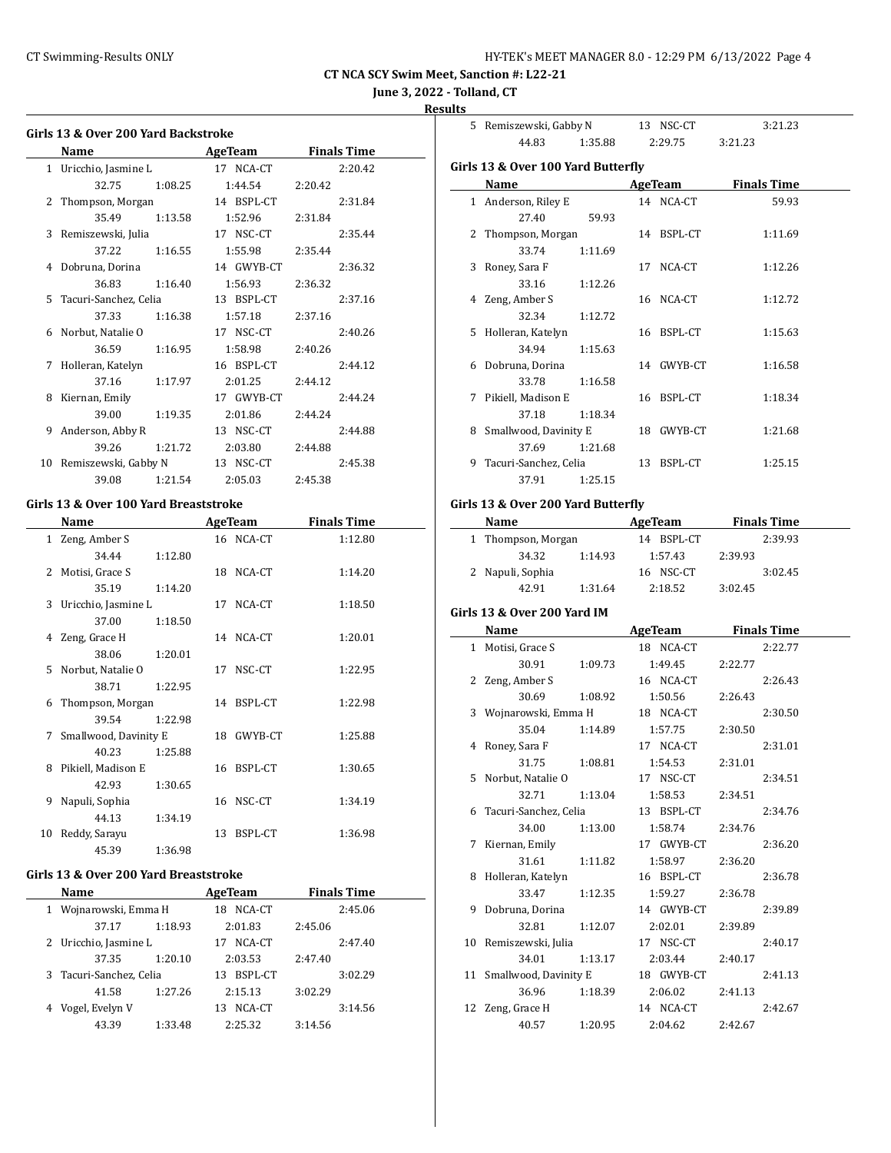**June 3, 2022 - Tolland, CT**

### **Results**

| Girls 13 & Over 200 Yard Backstroke |                                       |              |                    |  |  |  |  |
|-------------------------------------|---------------------------------------|--------------|--------------------|--|--|--|--|
|                                     | Name                                  | AgeTeam      | <b>Finals Time</b> |  |  |  |  |
| $\mathbf{1}$                        | Uricchio, Jasmine L                   | 17 NCA-CT    | 2:20.42            |  |  |  |  |
|                                     | 32.75<br>1:08.25                      | 1:44.54      | 2:20.42            |  |  |  |  |
| 2                                   | Thompson, Morgan                      | 14 BSPL-CT   | 2:31.84            |  |  |  |  |
|                                     | 35.49<br>1:13.58                      | 1:52.96      | 2:31.84            |  |  |  |  |
| 3                                   | Remiszewski, Julia                    | 17 NSC-CT    | 2:35.44            |  |  |  |  |
|                                     | 37.22<br>1:16.55                      | 1:55.98      | 2:35.44            |  |  |  |  |
| 4                                   | Dobruna, Dorina                       | 14 GWYB-CT   | 2:36.32            |  |  |  |  |
|                                     | 36.83<br>1:16.40                      | 1:56.93      | 2:36.32            |  |  |  |  |
| 5                                   | Tacuri-Sanchez, Celia                 | 13 BSPL-CT   | 2:37.16            |  |  |  |  |
|                                     | 37.33<br>1:16.38                      | 1:57.18      | 2:37.16            |  |  |  |  |
| 6                                   | Norbut, Natalie O                     | 17 NSC-CT    | 2:40.26            |  |  |  |  |
|                                     | 36.59<br>1:16.95                      | 1:58.98      | 2:40.26            |  |  |  |  |
| 7                                   | Holleran, Katelyn                     | 16 BSPL-CT   | 2:44.12            |  |  |  |  |
|                                     | 37.16<br>1:17.97                      | 2:01.25      | 2:44.12            |  |  |  |  |
| 8                                   | Kiernan, Emily                        | 17 GWYB-CT   | 2:44.24            |  |  |  |  |
|                                     | 39.00<br>1:19.35                      | 2:01.86      | 2:44.24            |  |  |  |  |
| 9                                   | Anderson, Abby R                      | 13 NSC-CT    | 2:44.88            |  |  |  |  |
|                                     | 39.26<br>1:21.72                      | 2:03.80      | 2:44.88            |  |  |  |  |
| 10                                  | Remiszewski, Gabby N                  | 13 NSC-CT    | 2:45.38            |  |  |  |  |
|                                     | 39.08<br>1:21.54                      | 2:05.03      | 2:45.38            |  |  |  |  |
|                                     | Girls 13 & Over 100 Yard Breaststroke |              |                    |  |  |  |  |
|                                     | Name                                  | AgeTeam      | <b>Finals Time</b> |  |  |  |  |
|                                     | 1 Zeng, Amber S                       | 16 NCA-CT    | 1:12.80            |  |  |  |  |
|                                     | 34.44<br>1:12.80                      |              |                    |  |  |  |  |
| 2                                   | Motisi, Grace S                       | 18 NCA-CT    | 1:14.20            |  |  |  |  |
|                                     | 35.19<br>1:14.20                      |              |                    |  |  |  |  |
| 3                                   | Uricchio, Jasmine L                   | 17<br>NCA-CT | 1:18.50            |  |  |  |  |
|                                     | 37.00<br>1:18.50                      |              |                    |  |  |  |  |
| 4                                   | Zeng, Grace H                         | NCA-CT<br>14 | 1:20.01            |  |  |  |  |
|                                     | 38.06<br>1:20.01                      |              |                    |  |  |  |  |
| 5                                   | Norbut, Natalie O                     | NSC-CT<br>17 | 1:22.95            |  |  |  |  |
|                                     | 38.71<br>1:22.95                      |              |                    |  |  |  |  |
| 6                                   | Thompson, Morgan                      | 14 BSPL-CT   | 1:22.98            |  |  |  |  |
|                                     | 39.54<br>1:22.98                      |              |                    |  |  |  |  |
| 7                                   | Smallwood, Davinity E                 | 18 GWYB-CT   | 1:25.88            |  |  |  |  |
|                                     | 40.23<br>1:25.88                      |              |                    |  |  |  |  |
|                                     |                                       |              |                    |  |  |  |  |
| 8                                   | Pikiell, Madison E                    | 16 BSPL-CT   | 1:30.65            |  |  |  |  |

|                                    | 5 Remiszewski, Gabby N                                                                                                                                                                                                        |         | 13 NSC-CT |                             |         | 3:21.23            |  |
|------------------------------------|-------------------------------------------------------------------------------------------------------------------------------------------------------------------------------------------------------------------------------|---------|-----------|-----------------------------|---------|--------------------|--|
|                                    | 44.83                                                                                                                                                                                                                         |         |           | 1:35.88 2:29.75             | 3:21.23 |                    |  |
|                                    | Girls 13 & Over 100 Yard Butterfly                                                                                                                                                                                            |         |           |                             |         |                    |  |
|                                    | Name                                                                                                                                                                                                                          |         |           | AgeTeam                     |         | <b>Finals Time</b> |  |
|                                    |                                                                                                                                                                                                                               |         |           |                             |         |                    |  |
|                                    | 1 Anderson, Riley E                                                                                                                                                                                                           |         |           | 14 NCA-CT                   |         | 59.93              |  |
|                                    | 27.40                                                                                                                                                                                                                         | 59.93   |           |                             |         |                    |  |
|                                    | 2 Thompson, Morgan                                                                                                                                                                                                            |         |           | 14 BSPL-CT                  |         | 1:11.69            |  |
|                                    | 33.74                                                                                                                                                                                                                         | 1:11.69 |           |                             |         |                    |  |
|                                    | 3 Roney, Sara F                                                                                                                                                                                                               |         |           | 17 NCA-CT                   |         | 1:12.26            |  |
|                                    | 33.16                                                                                                                                                                                                                         | 1:12.26 |           |                             |         |                    |  |
|                                    | 4 Zeng, Amber S                                                                                                                                                                                                               |         |           | 16 NCA-CT                   |         | 1:12.72            |  |
|                                    | 32.34                                                                                                                                                                                                                         | 1:12.72 |           |                             |         |                    |  |
|                                    | 5 Holleran, Katelyn                                                                                                                                                                                                           |         |           | 16 BSPL-CT                  |         | 1:15.63            |  |
|                                    | 34.94                                                                                                                                                                                                                         | 1:15.63 |           |                             |         |                    |  |
|                                    | 6 Dobruna, Dorina                                                                                                                                                                                                             |         |           | 14 GWYB-CT                  |         | 1:16.58            |  |
|                                    | 33.78                                                                                                                                                                                                                         | 1:16.58 |           |                             |         |                    |  |
|                                    | 7 Pikiell, Madison E                                                                                                                                                                                                          |         |           | 16 BSPL-CT                  |         | 1:18.34            |  |
|                                    | 37.18                                                                                                                                                                                                                         | 1:18.34 |           |                             |         |                    |  |
|                                    | 8 Smallwood, Davinity E                                                                                                                                                                                                       |         |           | 18 GWYB-CT                  |         | 1:21.68            |  |
|                                    |                                                                                                                                                                                                                               |         |           |                             |         |                    |  |
|                                    | 37.69                                                                                                                                                                                                                         | 1:21.68 |           |                             |         |                    |  |
|                                    | 9   Tacuri-Sanchez, Celia                                                                                                                                                                                                     |         |           | 13 BSPL-CT                  |         | 1:25.15            |  |
|                                    | 37.91                                                                                                                                                                                                                         | 1:25.15 |           |                             |         |                    |  |
| Girls 13 & Over 200 Yard Butterfly |                                                                                                                                                                                                                               |         |           |                             |         |                    |  |
|                                    |                                                                                                                                                                                                                               |         |           |                             |         |                    |  |
|                                    |                                                                                                                                                                                                                               |         |           |                             |         |                    |  |
|                                    | Name AgeTeam Finals Time                                                                                                                                                                                                      |         |           |                             |         |                    |  |
|                                    | 1 Thompson, Morgan                                                                                                                                                                                                            |         |           | 14 BSPL-CT                  |         | 2:39.93            |  |
|                                    | 34.32<br>1:14.93                                                                                                                                                                                                              |         |           | 1:57.43                     | 2:39.93 |                    |  |
|                                    | 2 Napuli, Sophia                                                                                                                                                                                                              |         |           | 16 NSC-CT                   |         | 3:02.45            |  |
|                                    | 42.91                                                                                                                                                                                                                         | 1:31.64 |           | 2:18.52                     | 3:02.45 |                    |  |
|                                    | Girls 13 & Over 200 Yard IM                                                                                                                                                                                                   |         |           |                             |         |                    |  |
|                                    | Name and the same state of the state of the state of the state of the state of the state of the state of the state of the state of the state of the state of the state of the state of the state of the state of the state of |         |           |                             |         | <b>Finals Time</b> |  |
|                                    | 1 Motisi, Grace S                                                                                                                                                                                                             |         |           | <b>AgeTeam</b><br>18 NCA-CT |         | 2:22.77            |  |
|                                    |                                                                                                                                                                                                                               |         |           |                             |         |                    |  |
|                                    | 30.91                                                                                                                                                                                                                         | 1:09.73 |           | 1:49.45                     | 2:22.77 |                    |  |
|                                    | 2 Zeng, Amber S                                                                                                                                                                                                               |         |           | 16 NCA-CT                   |         | 2:26.43            |  |
|                                    | 30.69                                                                                                                                                                                                                         | 1:08.92 |           | 1:50.56                     | 2:26.43 |                    |  |
|                                    | 3 Wojnarowski, Emma H                                                                                                                                                                                                         |         |           | 18 NCA-CT                   |         | 2:30.50            |  |
|                                    | 35.04                                                                                                                                                                                                                         | 1:14.89 |           | 1:57.75                     | 2:30.50 |                    |  |
|                                    | 4 Roney, Sara F                                                                                                                                                                                                               |         |           | 17 NCA-CT                   |         | 2:31.01            |  |
|                                    | 31.75                                                                                                                                                                                                                         | 1:08.81 |           | 1:54.53                     | 2:31.01 |                    |  |
| 5                                  | Norbut, Natalie O                                                                                                                                                                                                             |         |           | 17 NSC-CT                   |         | 2:34.51            |  |
|                                    | 32.71                                                                                                                                                                                                                         | 1:13.04 |           | 1:58.53                     | 2:34.51 |                    |  |
| 6                                  | Tacuri-Sanchez, Celia                                                                                                                                                                                                         |         |           | 13 BSPL-CT                  |         | 2:34.76            |  |
|                                    | 34.00                                                                                                                                                                                                                         | 1:13.00 |           | 1:58.74                     | 2:34.76 |                    |  |
| 7                                  | Kiernan, Emily                                                                                                                                                                                                                |         |           | 17 GWYB-CT                  |         | 2:36.20            |  |
|                                    | 31.61                                                                                                                                                                                                                         | 1:11.82 |           | 1:58.97                     | 2:36.20 |                    |  |

33.47 1:12.35 1:59.27 2:36.78 9 Dobruna, Dorina 14 GWYB-CT 2:39.89 32.81 1:12.07 2:02.01 2:39.89 10 Remiszewski, Julia 17 NSC-CT 2:40.17 34.01 1:13.17 2:03.44 2:40.17 11 Smallwood, Davinity E 18 GWYB-CT 2:41.13 36.96 1:18.39 2:06.02 2:41.13 12 Zeng, Grace H 14 NCA-CT 2:42.67 40.57 1:20.95 2:04.62 2:42.67

#### **Girls 13 & Over 200 Yard Breaststroke**

44.13 1:34.19

45.39 1:36.98

|   | Name                    |         | AgeTeam       | <b>Finals Time</b> |  |
|---|-------------------------|---------|---------------|--------------------|--|
| 1 | Wojnarowski, Emma H     |         | NCA-CT<br>18  | 2:45.06            |  |
|   | 37.17                   | 1:18.93 | 2:01.83       | 2:45.06            |  |
|   | 2 Uricchio, Jasmine L   |         | NCA-CT<br>17  | 2:47.40            |  |
|   | 37.35                   | 1:20.10 | 2:03.53       | 2:47.40            |  |
|   | 3 Tacuri-Sanchez, Celia |         | BSPL-CT<br>13 | 3:02.29            |  |
|   | 41.58                   | 1:27.26 | 2:15.13       | 3:02.29            |  |
|   | 4 Vogel, Evelyn V       |         | NCA-CT<br>13  | 3:14.56            |  |
|   | 43.39                   | 1:33.48 | 2:25.32       | 3:14.56            |  |

9 Napuli, Sophia 16 NSC-CT 1:34.19

10 Reddy, Sarayu 13 BSPL-CT 1:36.98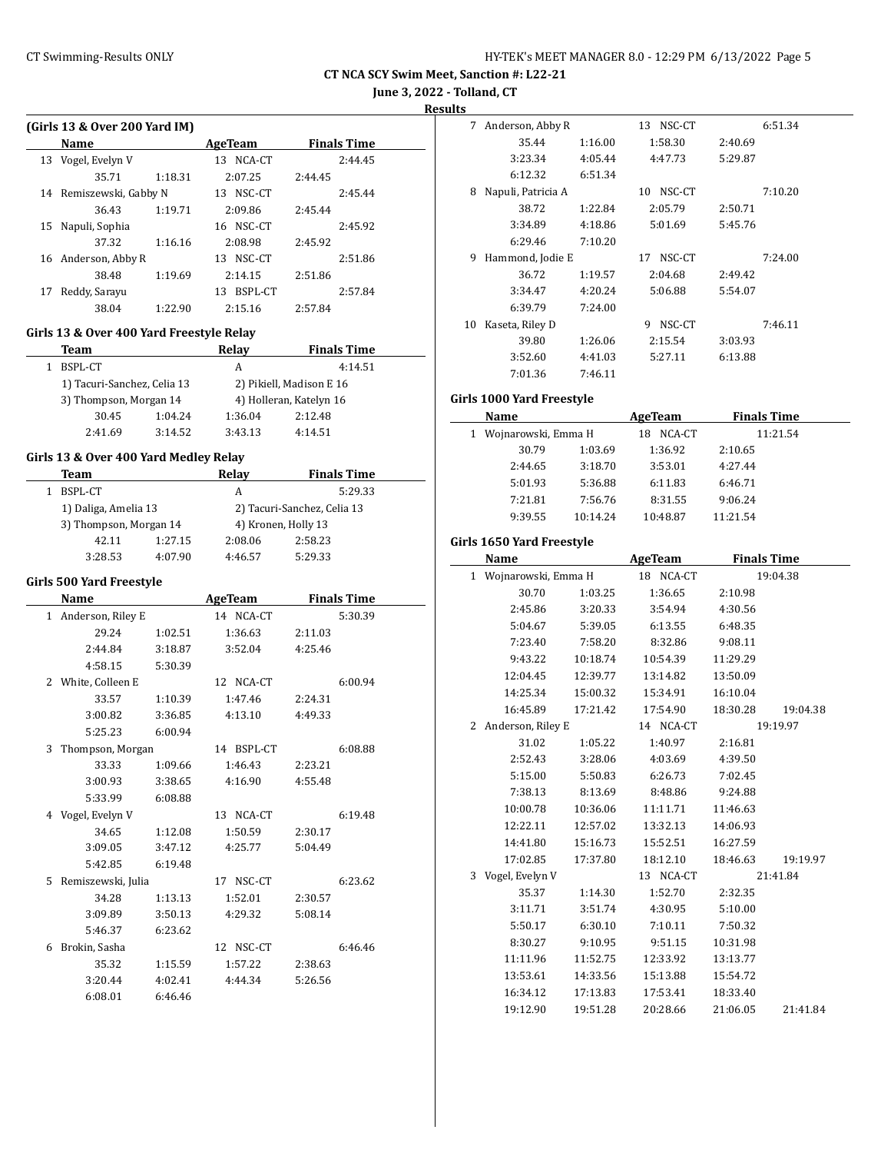**June 3, 2022 - Tolland, CT**

**Results**

| (Girls 13 & Over 200 Yard IM) |                      |         |               |                    |  |  |  |  |
|-------------------------------|----------------------|---------|---------------|--------------------|--|--|--|--|
|                               | Name                 |         | AgeTeam       | <b>Finals Time</b> |  |  |  |  |
|                               | 13 Vogel, Evelyn V   |         | NCA-CT<br>13. | 2:44.45            |  |  |  |  |
|                               | 35.71                | 1:18.31 | 2:07.25       | 2:44.45            |  |  |  |  |
| 14                            | Remiszewski, Gabby N |         | NSC-CT<br>13. | 2:45.44            |  |  |  |  |
|                               | 36.43                | 1:19.71 | 2:09.86       | 2:45.44            |  |  |  |  |
| 15                            | Napuli, Sophia       |         | NSC-CT<br>16  | 2:45.92            |  |  |  |  |
|                               | 37.32                | 1:16.16 | 2:08.98       | 2:45.92            |  |  |  |  |
| 16                            | Anderson, Abby R     |         | NSC-CT<br>13. | 2:51.86            |  |  |  |  |
|                               | 38.48                | 1:19.69 | 2:14.15       | 2:51.86            |  |  |  |  |
| 17                            | Reddy, Sarayu        |         | BSPL-CT<br>13 | 2:57.84            |  |  |  |  |
|                               | 38.04                | 1:22.90 | 2:15.16       | 2:57.84            |  |  |  |  |
|                               |                      |         |               |                    |  |  |  |  |

### **Girls 13 & Over 400 Yard Freestyle Relay**

| Team                        |         | Relay                    | <b>Finals Time</b>      |  |  |
|-----------------------------|---------|--------------------------|-------------------------|--|--|
| BSPL-CT                     |         | 4:14.51<br>А             |                         |  |  |
| 1) Tacuri-Sanchez, Celia 13 |         | 2) Pikiell, Madison E 16 |                         |  |  |
| 3) Thompson, Morgan 14      |         |                          | 4) Holleran, Katelyn 16 |  |  |
| 30.45                       | 1:04.24 | 1:36.04                  | 2:12.48                 |  |  |
| 2:41.69                     | 3:14.52 | 3:43.13                  | 4:14.51                 |  |  |

#### **Girls 13 & Over 400 Yard Medley Relay**

| Team                   |         | Relay                       | <b>Finals Time</b> |  |  |
|------------------------|---------|-----------------------------|--------------------|--|--|
| BSPL-CT                |         | А                           | 5:29.33            |  |  |
| 1) Daliga, Amelia 13   |         | 2) Tacuri-Sanchez, Celia 13 |                    |  |  |
| 3) Thompson, Morgan 14 |         | 4) Kronen, Holly 13         |                    |  |  |
| 42.11                  | 1:27.15 | 2:08.06                     | 2:58.23            |  |  |
| 3:28.53                | 4:07.90 | 4:46.57                     | 5:29.33            |  |  |

### **Girls 500 Yard Freestyle**

|   | Name                |         | <b>AgeTeam</b> | <b>Finals Time</b> |  |
|---|---------------------|---------|----------------|--------------------|--|
|   | 1 Anderson, Riley E |         | 14 NCA-CT      | 5:30.39            |  |
|   | 29.24               | 1:02.51 | 1:36.63        | 2:11.03            |  |
|   | 2:44.84             | 3:18.87 | 3:52.04        | 4:25.46            |  |
|   | 4:58.15             | 5:30.39 |                |                    |  |
|   | 2 White, Colleen E  |         | 12 NCA-CT      | 6:00.94            |  |
|   | 33.57               | 1:10.39 | 1:47.46        | 2:24.31            |  |
|   | 3:00.82             | 3:36.85 | 4:13.10        | 4:49.33            |  |
|   | 5:25.23             | 6:00.94 |                |                    |  |
| 3 | Thompson, Morgan    |         | 14 BSPL-CT     | 6:08.88            |  |
|   | 33.33               | 1:09.66 | 1:46.43        | 2:23.21            |  |
|   | 3:00.93             | 3:38.65 | 4:16.90        | 4:55.48            |  |
|   | 5:33.99             | 6:08.88 |                |                    |  |
|   | 4 Vogel, Evelyn V   |         | 13 NCA-CT      | 6:19.48            |  |
|   | 34.65               | 1:12.08 | 1:50.59        | 2:30.17            |  |
|   | 3:09.05             | 3:47.12 | 4:25.77        | 5:04.49            |  |
|   | 5:42.85             | 6:19.48 |                |                    |  |
| 5 | Remiszewski, Julia  |         | 17 NSC-CT      | 6:23.62            |  |
|   | 34.28               | 1:13.13 | 1:52.01        | 2:30.57            |  |
|   | 3:09.89             | 3:50.13 | 4:29.32        | 5:08.14            |  |
|   | 5:46.37             | 6:23.62 |                |                    |  |
| 6 | Brokin, Sasha       |         | 12 NSC-CT      | 6:46.46            |  |
|   | 35.32               | 1:15.59 | 1:57.22        | 2:38.63            |  |
|   | 3:20.44             | 4:02.41 | 4:44.34        | 5:26.56            |  |
|   | 6:08.01             | 6:46.46 |                |                    |  |

| 7  | Anderson, Abby R   |         | 13 NSC-CT    |         | 6:51.34 |
|----|--------------------|---------|--------------|---------|---------|
|    | 35.44              | 1:16.00 | 1:58.30      | 2:40.69 |         |
|    | 3:23.34            | 4:05.44 | 4:47.73      | 5:29.87 |         |
|    | 6:12.32            | 6:51.34 |              |         |         |
| 8  | Napuli, Patricia A |         | NSC-CT<br>10 |         | 7:10.20 |
|    | 38.72              | 1:22.84 | 2:05.79      | 2:50.71 |         |
|    | 3:34.89            | 4:18.86 | 5:01.69      | 5:45.76 |         |
|    | 6:29.46            | 7:10.20 |              |         |         |
|    |                    |         |              |         |         |
| 9  | Hammond, Jodie E   |         | 17 NSC-CT    |         | 7:24.00 |
|    | 36.72              | 1:19.57 | 2:04.68      | 2:49.42 |         |
|    | 3:34.47            | 4:20.24 | 5:06.88      | 5:54.07 |         |
|    | 6:39.79            | 7:24.00 |              |         |         |
| 10 | Kaseta, Riley D    |         | NSC-CT<br>9  |         | 7:46.11 |
|    | 39.80              | 1:26.06 | 2:15.54      | 3:03.93 |         |
|    | 3:52.60            | 4:41.03 | 5:27.11      | 6:13.88 |         |

# **Girls 1000 Yard Freestyle**

| Name                  |          | AgeTeam       | <b>Finals Time</b> |  |
|-----------------------|----------|---------------|--------------------|--|
| 1 Wojnarowski, Emma H |          | NCA-CT<br>18. | 11:21.54           |  |
| 30.79                 | 1:03.69  | 1:36.92       | 2:10.65            |  |
| 2:44.65               | 3:18.70  | 3:53.01       | 4:27.44            |  |
| 5:01.93               | 5:36.88  | 6:11.83       | 6:46.71            |  |
| 7:21.81               | 7:56.76  | 8:31.55       | 9:06.24            |  |
| 9:39.55               | 10:14.24 | 10:48.87      | 11:21.54           |  |
|                       |          |               |                    |  |

#### **Girls 1650 Yard Freestyle**

|   | Name                  |          | <b>AgeTeam</b> | <b>Finals Time</b> |          |
|---|-----------------------|----------|----------------|--------------------|----------|
|   | 1 Wojnarowski, Emma H |          | 18 NCA-CT      |                    | 19:04.38 |
|   | 30.70                 | 1:03.25  | 1:36.65        | 2:10.98            |          |
|   | 2:45.86               | 3:20.33  | 3:54.94        | 4:30.56            |          |
|   | 5:04.67               | 5:39.05  | 6:13.55        | 6:48.35            |          |
|   | 7:23.40               | 7:58.20  | 8:32.86        | 9:08.11            |          |
|   | 9:43.22               | 10:18.74 | 10:54.39       | 11:29.29           |          |
|   | 12:04.45              | 12:39.77 | 13:14.82       | 13:50.09           |          |
|   | 14:25.34              | 15:00.32 | 15:34.91       | 16:10.04           |          |
|   | 16:45.89              | 17:21.42 | 17:54.90       | 18:30.28           | 19:04.38 |
| 2 | Anderson, Riley E     |          | 14 NCA-CT      |                    | 19:19.97 |
|   | 31.02                 | 1:05.22  | 1:40.97        | 2:16.81            |          |
|   | 2:52.43               | 3:28.06  | 4:03.69        | 4:39.50            |          |
|   | 5:15.00               | 5:50.83  | 6:26.73        | 7:02.45            |          |
|   | 7:38.13               | 8:13.69  | 8:48.86        | 9:24.88            |          |
|   | 10:00.78              | 10:36.06 | 11:11.71       | 11:46.63           |          |
|   | 12:22.11              | 12:57.02 | 13:32.13       | 14:06.93           |          |
|   | 14:41.80              | 15:16.73 | 15:52.51       | 16:27.59           |          |
|   | 17:02.85              | 17:37.80 | 18:12.10       | 18:46.63           | 19:19.97 |
| 3 | Vogel, Evelyn V       |          | 13 NCA-CT      |                    | 21:41.84 |
|   | 35.37                 | 1:14.30  | 1:52.70        | 2:32.35            |          |
|   | 3:11.71               | 3:51.74  | 4:30.95        | 5:10.00            |          |
|   | 5:50.17               | 6:30.10  | 7:10.11        | 7:50.32            |          |
|   | 8:30.27               | 9:10.95  | 9:51.15        | 10:31.98           |          |
|   | 11:11.96              | 11:52.75 | 12:33.92       | 13:13.77           |          |
|   | 13:53.61              | 14:33.56 | 15:13.88       | 15:54.72           |          |
|   | 16:34.12              | 17:13.83 | 17:53.41       | 18:33.40           |          |
|   | 19:12.90              | 19:51.28 | 20:28.66       | 21:06.05           | 21:41.84 |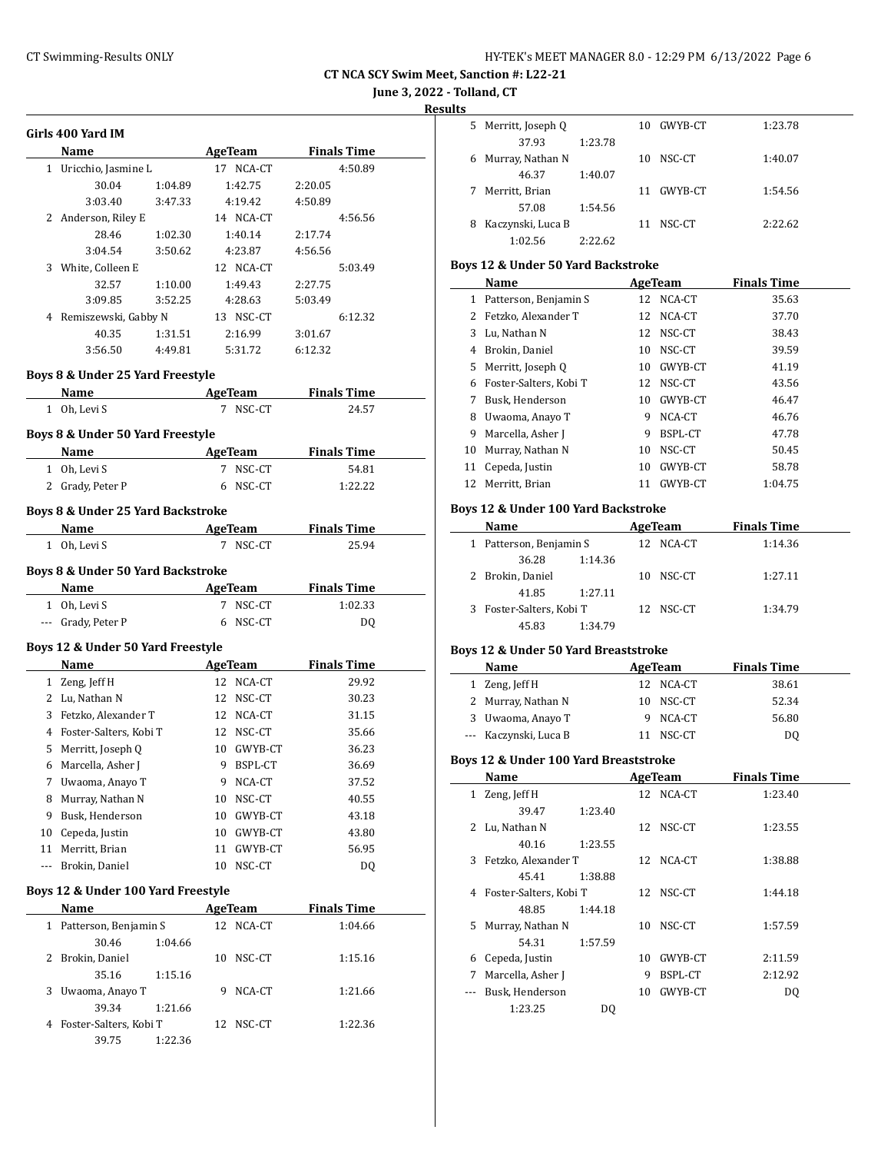**June 3, 2022 - Tolland, CT**

**Results**

 $\overline{\phantom{a}}$ 

 $\overline{a}$ 

 $\frac{1}{2}$ 

| <b>Finals Time</b><br>Name<br><b>AgeTeam</b><br>Uricchio, Jasmine L<br>17 NCA-CT<br>4:50.89<br>1<br>30.04<br>1:42.75<br>1:04.89<br>2:20.05<br>3:03.40<br>4:19.42<br>4:50.89<br>3:47.33<br>2 Anderson, Riley E<br>14 NCA-CT<br>4:56.56<br>28.46<br>1:40.14<br>2:17.74<br>1:02.30<br>3:04.54<br>3:50.62<br>4:23.87<br>4:56.56<br>3 White, Colleen E<br>12 NCA-CT<br>5:03.49<br>32.57<br>1:10.00<br>1:49.43<br>2:27.75<br>3:09.85<br>3:52.25<br>4:28.63<br>5:03.49<br>4 Remiszewski, Gabby N<br>13 NSC-CT<br>6:12.32<br>40.35<br>1:31.51<br>2:16.99<br>3:01.67<br>3:56.50<br>4:49.81<br>5:31.72<br>6:12.32<br>Boys 8 & Under 25 Yard Freestyle<br><b>Finals Time</b><br><b>AgeTeam</b><br>Name<br>7 NSC-CT<br>1 Oh, Levi S<br>24.57<br>Boys 8 & Under 50 Yard Freestyle<br><b>Finals Time</b><br>Name<br>AgeTeam<br>1 Oh, Levi S<br>7 NSC-CT<br>54.81<br>2 Grady, Peter P<br>NSC-CT<br>1:22.22<br>6<br>Boys 8 & Under 25 Yard Backstroke<br><b>Name</b><br><b>Finals Time</b><br><b>AgeTeam</b><br>1 Oh, Levi S<br>7 NSC-CT<br>25.94<br>Boys 8 & Under 50 Yard Backstroke<br>AgeTeam<br><b>Finals Time</b><br>Name<br>1 Oh, Levi S<br>7 NSC-CT<br>1:02.33<br>--- Grady, Peter P<br>NSC-CT<br>DQ<br>6<br>Boys 12 & Under 50 Yard Freestyle<br><b>Finals Time</b><br>Name<br>AgeTeam<br>1 Zeng, Jeff H<br>12 NCA-CT<br>29.92<br>2 Lu, Nathan N<br>12 NSC-CT<br>30.23<br>3 Fetzko, Alexander T<br>12 NCA-CT<br>31.15<br>4 Foster-Salters, Kobi T<br>12 NSC-CT<br>35.66<br>5 Merritt, Joseph Q<br>10 GWYB-CT<br>36.23<br>9 BSPL-CT<br>36.69<br>6 Marcella, Asher J<br>7<br>Uwaoma, Anayo T<br>NCA-CT<br>37.52<br>9.<br>Murray, Nathan N<br>NSC-CT<br>8<br>10<br>40.55<br>9<br>Busk, Henderson<br>10<br>GWYB-CT<br>43.18<br>Cepeda, Justin<br>10<br>10<br>GWYB-CT<br>43.80<br>Merritt, Brian<br>56.95<br>11<br>11<br>GWYB-CT<br>Brokin, Daniel<br>10<br>NSC-CT<br>DQ<br>---<br>Boys 12 & Under 100 Yard Freestyle<br><b>Finals Time</b><br>Name<br><u>AgeTeam</u><br>Patterson, Benjamin S<br>12<br>NCA-CT<br>1:04.66<br>1<br>30.46<br>1:04.66<br>2<br>Brokin, Daniel<br>10<br>NSC-CT<br>1:15.16<br>35.16<br>1:15.16<br>3<br>Uwaoma, Anayo T<br>9<br>NCA-CT<br>1:21.66<br>39.34<br>1:21.66 |   | Girls 400 Yard IM      |    |        |         |
|------------------------------------------------------------------------------------------------------------------------------------------------------------------------------------------------------------------------------------------------------------------------------------------------------------------------------------------------------------------------------------------------------------------------------------------------------------------------------------------------------------------------------------------------------------------------------------------------------------------------------------------------------------------------------------------------------------------------------------------------------------------------------------------------------------------------------------------------------------------------------------------------------------------------------------------------------------------------------------------------------------------------------------------------------------------------------------------------------------------------------------------------------------------------------------------------------------------------------------------------------------------------------------------------------------------------------------------------------------------------------------------------------------------------------------------------------------------------------------------------------------------------------------------------------------------------------------------------------------------------------------------------------------------------------------------------------------------------------------------------------------------------------------------------------------------------------------------------------------------------------------------------------------------------------------------------------------------------------------------------------------------------------------------------------------------------------------------------------------------------------------------------------------------------------------|---|------------------------|----|--------|---------|
|                                                                                                                                                                                                                                                                                                                                                                                                                                                                                                                                                                                                                                                                                                                                                                                                                                                                                                                                                                                                                                                                                                                                                                                                                                                                                                                                                                                                                                                                                                                                                                                                                                                                                                                                                                                                                                                                                                                                                                                                                                                                                                                                                                                    |   |                        |    |        |         |
|                                                                                                                                                                                                                                                                                                                                                                                                                                                                                                                                                                                                                                                                                                                                                                                                                                                                                                                                                                                                                                                                                                                                                                                                                                                                                                                                                                                                                                                                                                                                                                                                                                                                                                                                                                                                                                                                                                                                                                                                                                                                                                                                                                                    |   |                        |    |        |         |
|                                                                                                                                                                                                                                                                                                                                                                                                                                                                                                                                                                                                                                                                                                                                                                                                                                                                                                                                                                                                                                                                                                                                                                                                                                                                                                                                                                                                                                                                                                                                                                                                                                                                                                                                                                                                                                                                                                                                                                                                                                                                                                                                                                                    |   |                        |    |        |         |
|                                                                                                                                                                                                                                                                                                                                                                                                                                                                                                                                                                                                                                                                                                                                                                                                                                                                                                                                                                                                                                                                                                                                                                                                                                                                                                                                                                                                                                                                                                                                                                                                                                                                                                                                                                                                                                                                                                                                                                                                                                                                                                                                                                                    |   |                        |    |        |         |
|                                                                                                                                                                                                                                                                                                                                                                                                                                                                                                                                                                                                                                                                                                                                                                                                                                                                                                                                                                                                                                                                                                                                                                                                                                                                                                                                                                                                                                                                                                                                                                                                                                                                                                                                                                                                                                                                                                                                                                                                                                                                                                                                                                                    |   |                        |    |        |         |
|                                                                                                                                                                                                                                                                                                                                                                                                                                                                                                                                                                                                                                                                                                                                                                                                                                                                                                                                                                                                                                                                                                                                                                                                                                                                                                                                                                                                                                                                                                                                                                                                                                                                                                                                                                                                                                                                                                                                                                                                                                                                                                                                                                                    |   |                        |    |        |         |
|                                                                                                                                                                                                                                                                                                                                                                                                                                                                                                                                                                                                                                                                                                                                                                                                                                                                                                                                                                                                                                                                                                                                                                                                                                                                                                                                                                                                                                                                                                                                                                                                                                                                                                                                                                                                                                                                                                                                                                                                                                                                                                                                                                                    |   |                        |    |        |         |
|                                                                                                                                                                                                                                                                                                                                                                                                                                                                                                                                                                                                                                                                                                                                                                                                                                                                                                                                                                                                                                                                                                                                                                                                                                                                                                                                                                                                                                                                                                                                                                                                                                                                                                                                                                                                                                                                                                                                                                                                                                                                                                                                                                                    |   |                        |    |        |         |
|                                                                                                                                                                                                                                                                                                                                                                                                                                                                                                                                                                                                                                                                                                                                                                                                                                                                                                                                                                                                                                                                                                                                                                                                                                                                                                                                                                                                                                                                                                                                                                                                                                                                                                                                                                                                                                                                                                                                                                                                                                                                                                                                                                                    |   |                        |    |        |         |
|                                                                                                                                                                                                                                                                                                                                                                                                                                                                                                                                                                                                                                                                                                                                                                                                                                                                                                                                                                                                                                                                                                                                                                                                                                                                                                                                                                                                                                                                                                                                                                                                                                                                                                                                                                                                                                                                                                                                                                                                                                                                                                                                                                                    |   |                        |    |        |         |
|                                                                                                                                                                                                                                                                                                                                                                                                                                                                                                                                                                                                                                                                                                                                                                                                                                                                                                                                                                                                                                                                                                                                                                                                                                                                                                                                                                                                                                                                                                                                                                                                                                                                                                                                                                                                                                                                                                                                                                                                                                                                                                                                                                                    |   |                        |    |        |         |
|                                                                                                                                                                                                                                                                                                                                                                                                                                                                                                                                                                                                                                                                                                                                                                                                                                                                                                                                                                                                                                                                                                                                                                                                                                                                                                                                                                                                                                                                                                                                                                                                                                                                                                                                                                                                                                                                                                                                                                                                                                                                                                                                                                                    |   |                        |    |        |         |
|                                                                                                                                                                                                                                                                                                                                                                                                                                                                                                                                                                                                                                                                                                                                                                                                                                                                                                                                                                                                                                                                                                                                                                                                                                                                                                                                                                                                                                                                                                                                                                                                                                                                                                                                                                                                                                                                                                                                                                                                                                                                                                                                                                                    |   |                        |    |        |         |
|                                                                                                                                                                                                                                                                                                                                                                                                                                                                                                                                                                                                                                                                                                                                                                                                                                                                                                                                                                                                                                                                                                                                                                                                                                                                                                                                                                                                                                                                                                                                                                                                                                                                                                                                                                                                                                                                                                                                                                                                                                                                                                                                                                                    |   |                        |    |        |         |
|                                                                                                                                                                                                                                                                                                                                                                                                                                                                                                                                                                                                                                                                                                                                                                                                                                                                                                                                                                                                                                                                                                                                                                                                                                                                                                                                                                                                                                                                                                                                                                                                                                                                                                                                                                                                                                                                                                                                                                                                                                                                                                                                                                                    |   |                        |    |        |         |
|                                                                                                                                                                                                                                                                                                                                                                                                                                                                                                                                                                                                                                                                                                                                                                                                                                                                                                                                                                                                                                                                                                                                                                                                                                                                                                                                                                                                                                                                                                                                                                                                                                                                                                                                                                                                                                                                                                                                                                                                                                                                                                                                                                                    |   |                        |    |        |         |
|                                                                                                                                                                                                                                                                                                                                                                                                                                                                                                                                                                                                                                                                                                                                                                                                                                                                                                                                                                                                                                                                                                                                                                                                                                                                                                                                                                                                                                                                                                                                                                                                                                                                                                                                                                                                                                                                                                                                                                                                                                                                                                                                                                                    |   |                        |    |        |         |
|                                                                                                                                                                                                                                                                                                                                                                                                                                                                                                                                                                                                                                                                                                                                                                                                                                                                                                                                                                                                                                                                                                                                                                                                                                                                                                                                                                                                                                                                                                                                                                                                                                                                                                                                                                                                                                                                                                                                                                                                                                                                                                                                                                                    |   |                        |    |        |         |
|                                                                                                                                                                                                                                                                                                                                                                                                                                                                                                                                                                                                                                                                                                                                                                                                                                                                                                                                                                                                                                                                                                                                                                                                                                                                                                                                                                                                                                                                                                                                                                                                                                                                                                                                                                                                                                                                                                                                                                                                                                                                                                                                                                                    |   |                        |    |        |         |
|                                                                                                                                                                                                                                                                                                                                                                                                                                                                                                                                                                                                                                                                                                                                                                                                                                                                                                                                                                                                                                                                                                                                                                                                                                                                                                                                                                                                                                                                                                                                                                                                                                                                                                                                                                                                                                                                                                                                                                                                                                                                                                                                                                                    |   |                        |    |        |         |
|                                                                                                                                                                                                                                                                                                                                                                                                                                                                                                                                                                                                                                                                                                                                                                                                                                                                                                                                                                                                                                                                                                                                                                                                                                                                                                                                                                                                                                                                                                                                                                                                                                                                                                                                                                                                                                                                                                                                                                                                                                                                                                                                                                                    |   |                        |    |        |         |
|                                                                                                                                                                                                                                                                                                                                                                                                                                                                                                                                                                                                                                                                                                                                                                                                                                                                                                                                                                                                                                                                                                                                                                                                                                                                                                                                                                                                                                                                                                                                                                                                                                                                                                                                                                                                                                                                                                                                                                                                                                                                                                                                                                                    |   |                        |    |        |         |
|                                                                                                                                                                                                                                                                                                                                                                                                                                                                                                                                                                                                                                                                                                                                                                                                                                                                                                                                                                                                                                                                                                                                                                                                                                                                                                                                                                                                                                                                                                                                                                                                                                                                                                                                                                                                                                                                                                                                                                                                                                                                                                                                                                                    |   |                        |    |        |         |
|                                                                                                                                                                                                                                                                                                                                                                                                                                                                                                                                                                                                                                                                                                                                                                                                                                                                                                                                                                                                                                                                                                                                                                                                                                                                                                                                                                                                                                                                                                                                                                                                                                                                                                                                                                                                                                                                                                                                                                                                                                                                                                                                                                                    |   |                        |    |        |         |
|                                                                                                                                                                                                                                                                                                                                                                                                                                                                                                                                                                                                                                                                                                                                                                                                                                                                                                                                                                                                                                                                                                                                                                                                                                                                                                                                                                                                                                                                                                                                                                                                                                                                                                                                                                                                                                                                                                                                                                                                                                                                                                                                                                                    |   |                        |    |        |         |
|                                                                                                                                                                                                                                                                                                                                                                                                                                                                                                                                                                                                                                                                                                                                                                                                                                                                                                                                                                                                                                                                                                                                                                                                                                                                                                                                                                                                                                                                                                                                                                                                                                                                                                                                                                                                                                                                                                                                                                                                                                                                                                                                                                                    |   |                        |    |        |         |
|                                                                                                                                                                                                                                                                                                                                                                                                                                                                                                                                                                                                                                                                                                                                                                                                                                                                                                                                                                                                                                                                                                                                                                                                                                                                                                                                                                                                                                                                                                                                                                                                                                                                                                                                                                                                                                                                                                                                                                                                                                                                                                                                                                                    |   |                        |    |        |         |
|                                                                                                                                                                                                                                                                                                                                                                                                                                                                                                                                                                                                                                                                                                                                                                                                                                                                                                                                                                                                                                                                                                                                                                                                                                                                                                                                                                                                                                                                                                                                                                                                                                                                                                                                                                                                                                                                                                                                                                                                                                                                                                                                                                                    |   |                        |    |        |         |
|                                                                                                                                                                                                                                                                                                                                                                                                                                                                                                                                                                                                                                                                                                                                                                                                                                                                                                                                                                                                                                                                                                                                                                                                                                                                                                                                                                                                                                                                                                                                                                                                                                                                                                                                                                                                                                                                                                                                                                                                                                                                                                                                                                                    |   |                        |    |        |         |
|                                                                                                                                                                                                                                                                                                                                                                                                                                                                                                                                                                                                                                                                                                                                                                                                                                                                                                                                                                                                                                                                                                                                                                                                                                                                                                                                                                                                                                                                                                                                                                                                                                                                                                                                                                                                                                                                                                                                                                                                                                                                                                                                                                                    |   |                        |    |        |         |
|                                                                                                                                                                                                                                                                                                                                                                                                                                                                                                                                                                                                                                                                                                                                                                                                                                                                                                                                                                                                                                                                                                                                                                                                                                                                                                                                                                                                                                                                                                                                                                                                                                                                                                                                                                                                                                                                                                                                                                                                                                                                                                                                                                                    |   |                        |    |        |         |
|                                                                                                                                                                                                                                                                                                                                                                                                                                                                                                                                                                                                                                                                                                                                                                                                                                                                                                                                                                                                                                                                                                                                                                                                                                                                                                                                                                                                                                                                                                                                                                                                                                                                                                                                                                                                                                                                                                                                                                                                                                                                                                                                                                                    |   |                        |    |        |         |
|                                                                                                                                                                                                                                                                                                                                                                                                                                                                                                                                                                                                                                                                                                                                                                                                                                                                                                                                                                                                                                                                                                                                                                                                                                                                                                                                                                                                                                                                                                                                                                                                                                                                                                                                                                                                                                                                                                                                                                                                                                                                                                                                                                                    |   |                        |    |        |         |
|                                                                                                                                                                                                                                                                                                                                                                                                                                                                                                                                                                                                                                                                                                                                                                                                                                                                                                                                                                                                                                                                                                                                                                                                                                                                                                                                                                                                                                                                                                                                                                                                                                                                                                                                                                                                                                                                                                                                                                                                                                                                                                                                                                                    |   |                        |    |        |         |
|                                                                                                                                                                                                                                                                                                                                                                                                                                                                                                                                                                                                                                                                                                                                                                                                                                                                                                                                                                                                                                                                                                                                                                                                                                                                                                                                                                                                                                                                                                                                                                                                                                                                                                                                                                                                                                                                                                                                                                                                                                                                                                                                                                                    |   |                        |    |        |         |
|                                                                                                                                                                                                                                                                                                                                                                                                                                                                                                                                                                                                                                                                                                                                                                                                                                                                                                                                                                                                                                                                                                                                                                                                                                                                                                                                                                                                                                                                                                                                                                                                                                                                                                                                                                                                                                                                                                                                                                                                                                                                                                                                                                                    |   |                        |    |        |         |
|                                                                                                                                                                                                                                                                                                                                                                                                                                                                                                                                                                                                                                                                                                                                                                                                                                                                                                                                                                                                                                                                                                                                                                                                                                                                                                                                                                                                                                                                                                                                                                                                                                                                                                                                                                                                                                                                                                                                                                                                                                                                                                                                                                                    |   |                        |    |        |         |
|                                                                                                                                                                                                                                                                                                                                                                                                                                                                                                                                                                                                                                                                                                                                                                                                                                                                                                                                                                                                                                                                                                                                                                                                                                                                                                                                                                                                                                                                                                                                                                                                                                                                                                                                                                                                                                                                                                                                                                                                                                                                                                                                                                                    |   |                        |    |        |         |
|                                                                                                                                                                                                                                                                                                                                                                                                                                                                                                                                                                                                                                                                                                                                                                                                                                                                                                                                                                                                                                                                                                                                                                                                                                                                                                                                                                                                                                                                                                                                                                                                                                                                                                                                                                                                                                                                                                                                                                                                                                                                                                                                                                                    |   |                        |    |        |         |
|                                                                                                                                                                                                                                                                                                                                                                                                                                                                                                                                                                                                                                                                                                                                                                                                                                                                                                                                                                                                                                                                                                                                                                                                                                                                                                                                                                                                                                                                                                                                                                                                                                                                                                                                                                                                                                                                                                                                                                                                                                                                                                                                                                                    |   |                        |    |        |         |
|                                                                                                                                                                                                                                                                                                                                                                                                                                                                                                                                                                                                                                                                                                                                                                                                                                                                                                                                                                                                                                                                                                                                                                                                                                                                                                                                                                                                                                                                                                                                                                                                                                                                                                                                                                                                                                                                                                                                                                                                                                                                                                                                                                                    |   |                        |    |        |         |
|                                                                                                                                                                                                                                                                                                                                                                                                                                                                                                                                                                                                                                                                                                                                                                                                                                                                                                                                                                                                                                                                                                                                                                                                                                                                                                                                                                                                                                                                                                                                                                                                                                                                                                                                                                                                                                                                                                                                                                                                                                                                                                                                                                                    |   |                        |    |        |         |
|                                                                                                                                                                                                                                                                                                                                                                                                                                                                                                                                                                                                                                                                                                                                                                                                                                                                                                                                                                                                                                                                                                                                                                                                                                                                                                                                                                                                                                                                                                                                                                                                                                                                                                                                                                                                                                                                                                                                                                                                                                                                                                                                                                                    |   |                        |    |        |         |
|                                                                                                                                                                                                                                                                                                                                                                                                                                                                                                                                                                                                                                                                                                                                                                                                                                                                                                                                                                                                                                                                                                                                                                                                                                                                                                                                                                                                                                                                                                                                                                                                                                                                                                                                                                                                                                                                                                                                                                                                                                                                                                                                                                                    |   |                        |    |        |         |
|                                                                                                                                                                                                                                                                                                                                                                                                                                                                                                                                                                                                                                                                                                                                                                                                                                                                                                                                                                                                                                                                                                                                                                                                                                                                                                                                                                                                                                                                                                                                                                                                                                                                                                                                                                                                                                                                                                                                                                                                                                                                                                                                                                                    |   |                        |    |        |         |
|                                                                                                                                                                                                                                                                                                                                                                                                                                                                                                                                                                                                                                                                                                                                                                                                                                                                                                                                                                                                                                                                                                                                                                                                                                                                                                                                                                                                                                                                                                                                                                                                                                                                                                                                                                                                                                                                                                                                                                                                                                                                                                                                                                                    |   |                        |    |        |         |
|                                                                                                                                                                                                                                                                                                                                                                                                                                                                                                                                                                                                                                                                                                                                                                                                                                                                                                                                                                                                                                                                                                                                                                                                                                                                                                                                                                                                                                                                                                                                                                                                                                                                                                                                                                                                                                                                                                                                                                                                                                                                                                                                                                                    |   |                        |    |        |         |
|                                                                                                                                                                                                                                                                                                                                                                                                                                                                                                                                                                                                                                                                                                                                                                                                                                                                                                                                                                                                                                                                                                                                                                                                                                                                                                                                                                                                                                                                                                                                                                                                                                                                                                                                                                                                                                                                                                                                                                                                                                                                                                                                                                                    |   |                        |    |        |         |
|                                                                                                                                                                                                                                                                                                                                                                                                                                                                                                                                                                                                                                                                                                                                                                                                                                                                                                                                                                                                                                                                                                                                                                                                                                                                                                                                                                                                                                                                                                                                                                                                                                                                                                                                                                                                                                                                                                                                                                                                                                                                                                                                                                                    |   |                        |    |        |         |
|                                                                                                                                                                                                                                                                                                                                                                                                                                                                                                                                                                                                                                                                                                                                                                                                                                                                                                                                                                                                                                                                                                                                                                                                                                                                                                                                                                                                                                                                                                                                                                                                                                                                                                                                                                                                                                                                                                                                                                                                                                                                                                                                                                                    |   |                        |    |        |         |
|                                                                                                                                                                                                                                                                                                                                                                                                                                                                                                                                                                                                                                                                                                                                                                                                                                                                                                                                                                                                                                                                                                                                                                                                                                                                                                                                                                                                                                                                                                                                                                                                                                                                                                                                                                                                                                                                                                                                                                                                                                                                                                                                                                                    |   |                        |    |        |         |
|                                                                                                                                                                                                                                                                                                                                                                                                                                                                                                                                                                                                                                                                                                                                                                                                                                                                                                                                                                                                                                                                                                                                                                                                                                                                                                                                                                                                                                                                                                                                                                                                                                                                                                                                                                                                                                                                                                                                                                                                                                                                                                                                                                                    |   |                        |    |        |         |
|                                                                                                                                                                                                                                                                                                                                                                                                                                                                                                                                                                                                                                                                                                                                                                                                                                                                                                                                                                                                                                                                                                                                                                                                                                                                                                                                                                                                                                                                                                                                                                                                                                                                                                                                                                                                                                                                                                                                                                                                                                                                                                                                                                                    |   |                        |    |        |         |
|                                                                                                                                                                                                                                                                                                                                                                                                                                                                                                                                                                                                                                                                                                                                                                                                                                                                                                                                                                                                                                                                                                                                                                                                                                                                                                                                                                                                                                                                                                                                                                                                                                                                                                                                                                                                                                                                                                                                                                                                                                                                                                                                                                                    |   |                        |    |        |         |
| 39.75<br>1:22.36                                                                                                                                                                                                                                                                                                                                                                                                                                                                                                                                                                                                                                                                                                                                                                                                                                                                                                                                                                                                                                                                                                                                                                                                                                                                                                                                                                                                                                                                                                                                                                                                                                                                                                                                                                                                                                                                                                                                                                                                                                                                                                                                                                   | 4 | Foster-Salters, Kobi T | 12 | NSC-CT | 1:22.36 |

|   | 5 Merritt, Joseph Q |         | 10 | GWYB-CT | 1:23.78 |
|---|---------------------|---------|----|---------|---------|
|   | 37.93               | 1:23.78 |    |         |         |
| 6 | Murray, Nathan N    |         | 10 | NSC-CT  | 1:40.07 |
|   | 46.37               | 1:40.07 |    |         |         |
|   | Merritt, Brian      |         | 11 | GWYB-CT | 1:54.56 |
|   | 57.08               | 1:54.56 |    |         |         |
| 8 | Kaczynski, Luca B   |         | 11 | NSC-CT  | 2:22.62 |
|   | 1:02.56             | 2:22.62 |    |         |         |

### **Boys 12 & Under 50 Yard Backstroke**

|    | Name                   |    | AgeTeam   | <b>Finals Time</b> |  |
|----|------------------------|----|-----------|--------------------|--|
| 1  | Patterson, Benjamin S  |    | 12 NCA-CT | 35.63              |  |
| 2  | Fetzko, Alexander T    |    | 12 NCA-CT | 37.70              |  |
| 3  | Lu, Nathan N           |    | 12 NSC-CT | 38.43              |  |
| 4  | Brokin, Daniel         | 10 | NSC-CT    | 39.59              |  |
| 5. | Merritt, Joseph Q      | 10 | GWYB-CT   | 41.19              |  |
| 6  | Foster-Salters, Kobi T |    | 12 NSC-CT | 43.56              |  |
| 7  | Busk, Henderson        | 10 | GWYB-CT   | 46.47              |  |
| 8  | Uwaoma, Anayo T        | 9  | NCA-CT    | 46.76              |  |
| 9  | Marcella, Asher J      | 9  | BSPL-CT   | 47.78              |  |
| 10 | Murray, Nathan N       | 10 | NSC-CT    | 50.45              |  |
| 11 | Cepeda, Justin         | 10 | GWYB-CT   | 58.78              |  |
|    | 12 Merritt, Brian      | 11 | GWYB-CT   | 1:04.75            |  |

### **Boys 12 & Under 100 Yard Backstroke**

|   | Name                   |              | AgeTeam   | <b>Finals Time</b> |
|---|------------------------|--------------|-----------|--------------------|
| 1 | Patterson, Benjamin S  | $12^{\circ}$ | NCA-CT    | 1:14.36            |
|   | 36.28                  | 1:14.36      |           |                    |
|   | Brokin, Daniel         | 10           | NSC-CT    | 1:27.11            |
|   | 41.85                  | 1:27.11      |           |                    |
| 3 | Foster-Salters, Kobi T |              | 12 NSC-CT | 1:34.79            |
|   | 45.83                  | 1:34.79      |           |                    |

#### **Boys 12 & Under 50 Yard Breaststroke**

| Name                  | AgeTeam |           | <b>Finals Time</b> |       |  |
|-----------------------|---------|-----------|--------------------|-------|--|
| 1 Zeng, Jeff H        |         | 12 NCA-CT |                    | 38.61 |  |
| 2 Murray, Nathan N    |         | 10 NSC-CT |                    | 52.34 |  |
| 3 Uwaoma, Anayo T     |         | 9 NCA-CT  |                    | 56.80 |  |
| --- Kaczynski, Luca B |         | NSC-CT    |                    | DO    |  |

#### **Boys 12 & Under 100 Yard Breaststroke**

|              | Name                     |         |    | AgeTeam   | <b>Finals Time</b> |  |
|--------------|--------------------------|---------|----|-----------|--------------------|--|
| $\mathbf{1}$ | Zeng, Jeff H             |         |    | 12 NCA-CT | 1:23.40            |  |
|              | 39.47                    | 1:23.40 |    |           |                    |  |
|              | 2 Lu, Nathan N           |         | 12 | NSC-CT    | 1:23.55            |  |
|              | 40.16                    | 1:23.55 |    |           |                    |  |
| 3            | Fetzko, Alexander T      |         |    | 12 NCA-CT | 1:38.88            |  |
|              | 45.41                    | 1:38.88 |    |           |                    |  |
|              | 4 Foster-Salters, Kobi T |         |    | 12 NSC-CT | 1:44.18            |  |
|              | 48.85                    | 1:44.18 |    |           |                    |  |
|              | 5 Murray, Nathan N       |         | 10 | NSC-CT    | 1:57.59            |  |
|              | 54.31                    | 1:57.59 |    |           |                    |  |
| 6            | Cepeda, Justin           |         | 10 | GWYB-CT   | 2:11.59            |  |
| 7            | Marcella, Asher J        |         | 9  | BSPL-CT   | 2:12.92            |  |
|              | Busk, Henderson          |         | 10 | GWYB-CT   | DQ                 |  |
|              | 1:23.25                  | DO      |    |           |                    |  |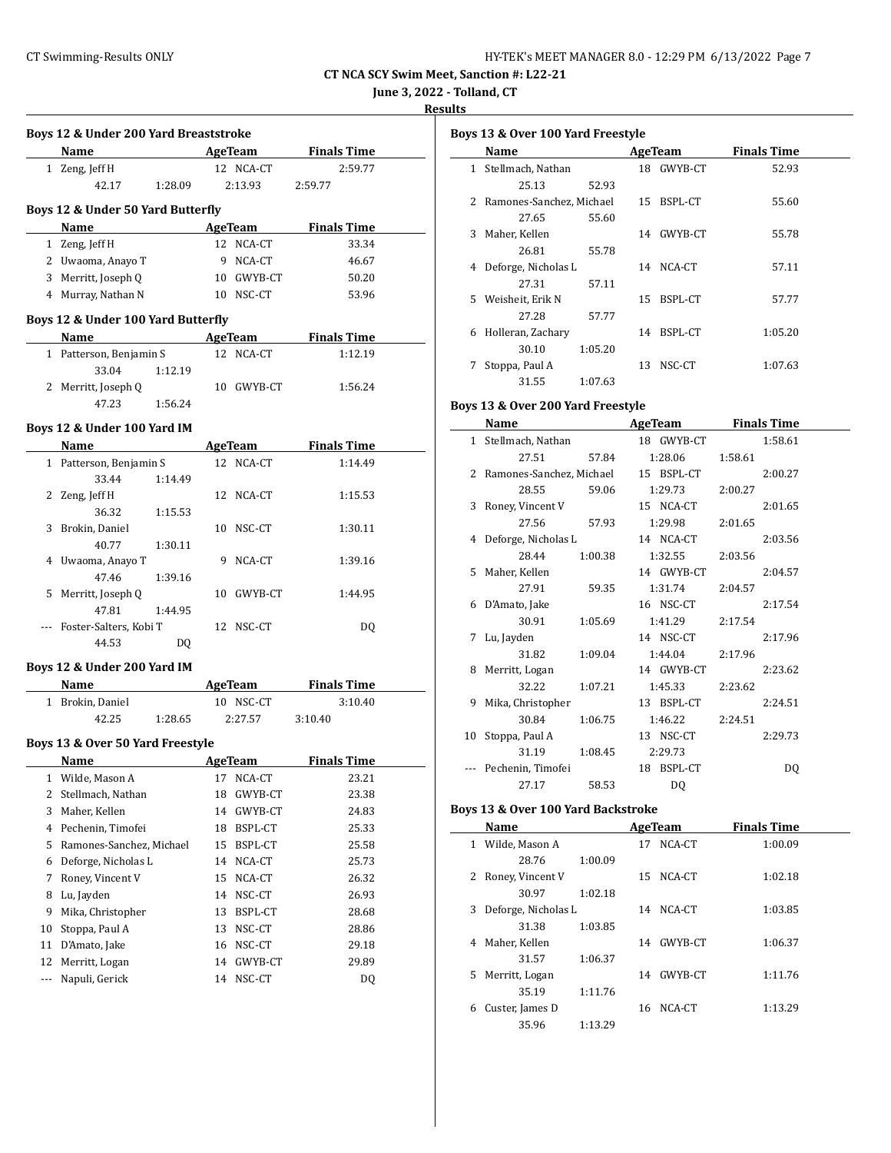**June 3, 2022 - Tolland, CT**

### **Results**

 $\frac{1}{2}$ 

| Boys 12 & Under 200 Yard Breaststroke |                                    |         |    |                |                    |  |  |
|---------------------------------------|------------------------------------|---------|----|----------------|--------------------|--|--|
|                                       | Name                               |         |    | <b>AgeTeam</b> | <b>Finals Time</b> |  |  |
|                                       | 1 Zeng, Jeff H                     |         |    | 12 NCA-CT      | 2:59.77            |  |  |
|                                       | 42.17                              | 1:28.09 |    | 2:13.93        | 2:59.77            |  |  |
|                                       | Boys 12 & Under 50 Yard Butterfly  |         |    |                |                    |  |  |
|                                       | Name                               |         |    | AgeTeam        | <b>Finals Time</b> |  |  |
|                                       | 1 Zeng, Jeff H                     |         |    | 12 NCA-CT      | 33.34              |  |  |
|                                       | 2 Uwaoma, Anayo T                  |         |    | 9 NCA-CT       | 46.67              |  |  |
|                                       | 3 Merritt, Joseph Q                |         |    | 10 GWYB-CT     | 50.20              |  |  |
|                                       | 4 Murray, Nathan N                 |         |    | 10 NSC-CT      | 53.96              |  |  |
|                                       | Boys 12 & Under 100 Yard Butterfly |         |    |                |                    |  |  |
|                                       | Name                               |         |    | <b>AgeTeam</b> | <b>Finals Time</b> |  |  |
|                                       | 1 Patterson, Benjamin S            |         |    | 12 NCA-CT      | 1:12.19            |  |  |
|                                       | 33.04                              | 1:12.19 |    |                |                    |  |  |
|                                       | 2 Merritt, Joseph Q                |         |    | 10 GWYB-CT     | 1:56.24            |  |  |
|                                       | 47.23                              |         |    |                |                    |  |  |
|                                       |                                    | 1:56.24 |    |                |                    |  |  |
|                                       | Boys 12 & Under 100 Yard IM        |         |    |                |                    |  |  |
|                                       | Name                               |         |    | <b>AgeTeam</b> | <b>Finals Time</b> |  |  |
|                                       | 1 Patterson, Benjamin S            |         |    | 12 NCA-CT      | 1:14.49            |  |  |
|                                       | 33.44                              | 1:14.49 |    |                |                    |  |  |
|                                       | 2 Zeng, Jeff H                     |         |    | 12 NCA-CT      | 1:15.53            |  |  |
|                                       | 36.32                              | 1:15.53 |    |                |                    |  |  |
|                                       | 3 Brokin, Daniel                   |         |    | 10 NSC-CT      | 1:30.11            |  |  |
|                                       | 40.77                              | 1:30.11 |    |                |                    |  |  |
|                                       | 4 Uwaoma, Anayo T                  |         |    | 9 NCA-CT       | 1:39.16            |  |  |
|                                       | 47.46                              | 1:39.16 |    |                |                    |  |  |
|                                       | 5 Merritt, Joseph Q                |         |    | 10 GWYB-CT     | 1:44.95            |  |  |
|                                       | 47.81                              | 1:44.95 |    |                |                    |  |  |
|                                       | --- Foster-Salters, Kobi T         |         |    | 12 NSC-CT      | DQ                 |  |  |
|                                       | 44.53                              | DO.     |    |                |                    |  |  |
|                                       | Boys 12 & Under 200 Yard IM        |         |    |                |                    |  |  |
|                                       | Name                               |         |    | <b>AgeTeam</b> | <b>Finals Time</b> |  |  |
|                                       | 1 Brokin, Daniel                   |         |    | 10 NSC-CT      | 3:10.40            |  |  |
|                                       | 42.25                              | 1:28.65 |    | 2:27.57        | 3:10.40            |  |  |
|                                       |                                    |         |    |                |                    |  |  |
|                                       | Boys 13 & Over 50 Yard Freestyle   |         |    |                |                    |  |  |
|                                       | Name                               |         |    | <b>AgeTeam</b> | <b>Finals Time</b> |  |  |
| 1                                     | Wilde, Mason A                     |         |    | 17 NCA-CT      | 23.21              |  |  |
| 2                                     | Stellmach, Nathan                  |         | 18 | GWYB-CT        | 23.38              |  |  |
| 3                                     | Maher, Kellen                      |         | 14 | GWYB-CT        | 24.83              |  |  |
| 4                                     | Pechenin, Timofei                  |         | 18 | BSPL-CT        | 25.33              |  |  |
| 5                                     | Ramones-Sanchez, Michael           |         | 15 | BSPL-CT        | 25.58              |  |  |
| 6                                     | Deforge, Nicholas L                |         | 14 | NCA-CT         | 25.73              |  |  |
| 7                                     | Roney, Vincent V                   |         | 15 | NCA-CT         | 26.32              |  |  |
| 8                                     | Lu, Jayden                         |         | 14 | NSC-CT         | 26.93              |  |  |
| 9                                     | Mika, Christopher                  |         | 13 | BSPL-CT        | 28.68              |  |  |
| 10                                    | Stoppa, Paul A                     |         | 13 | NSC-CT         | 28.86              |  |  |
| 11                                    | D'Amato, Jake                      |         | 16 | NSC-CT         | 29.18              |  |  |
| 12                                    | Merritt, Logan                     |         | 14 | GWYB-CT        | 29.89              |  |  |
| ---                                   | Napuli, Gerick                     |         | 14 | NSC-CT         | DQ                 |  |  |

|    | Boys 13 & Over 100 Yard Freestyle |         |    |            |                    |  |  |  |  |
|----|-----------------------------------|---------|----|------------|--------------------|--|--|--|--|
|    | Name                              |         |    | AgeTeam    | <b>Finals Time</b> |  |  |  |  |
| 1. | Stellmach, Nathan                 |         |    | 18 GWYB-CT | 52.93              |  |  |  |  |
|    | 25.13                             | 52.93   |    |            |                    |  |  |  |  |
| 2  | Ramones-Sanchez, Michael          |         |    | 15 BSPL-CT | 55.60              |  |  |  |  |
|    | 27.65                             | 55.60   |    |            |                    |  |  |  |  |
| 3  | Maher, Kellen                     |         |    | 14 GWYB-CT | 55.78              |  |  |  |  |
|    | 26.81                             | 55.78   |    |            |                    |  |  |  |  |
| 4  | Deforge, Nicholas L               |         |    | 14 NCA-CT  | 57.11              |  |  |  |  |
|    | 27.31                             | 57.11   |    |            |                    |  |  |  |  |
| 5. | Weisheit, Erik N                  |         | 15 | BSPL-CT    | 57.77              |  |  |  |  |
|    | 27.28                             | 57.77   |    |            |                    |  |  |  |  |
| 6  | Holleran, Zachary                 |         |    | 14 BSPL-CT | 1:05.20            |  |  |  |  |
|    | 30.10                             | 1:05.20 |    |            |                    |  |  |  |  |
| 7  | Stoppa, Paul A                    |         | 13 | NSC-CT     | 1:07.63            |  |  |  |  |
|    | 31.55                             | 1:07.63 |    |            |                    |  |  |  |  |

### **Boys 13 & Over 200 Yard Freestyle**

|    | <b>Name</b>                |         | AgeTeam    | <b>Finals Time</b> |
|----|----------------------------|---------|------------|--------------------|
|    | 1 Stellmach, Nathan        |         | 18 GWYB-CT | 1:58.61            |
|    | 27.51                      | 57.84   | 1:28.06    | 1:58.61            |
|    | 2 Ramones-Sanchez, Michael |         | 15 BSPL-CT | 2:00.27            |
|    | 28.55                      | 59.06   | 1:29.73    | 2:00.27            |
| 3  | Roney, Vincent V           |         | 15 NCA-CT  | 2:01.65            |
|    | 27.56                      | 57.93   | 1:29.98    | 2:01.65            |
|    | 4 Deforge, Nicholas L      |         | 14 NCA-CT  | 2:03.56            |
|    | 28.44                      | 1:00.38 | 1:32.55    | 2:03.56            |
| 5. | Maher, Kellen              |         | 14 GWYB-CT | 2:04.57            |
|    | 27.91                      | 59.35   | 1:31.74    | 2:04.57            |
|    | 6 D'Amato, Jake            |         | 16 NSC-CT  | 2:17.54            |
|    | 30.91                      | 1:05.69 | 1:41.29    | 2:17.54            |
| 7  | Lu, Jayden                 |         | 14 NSC-CT  | 2:17.96            |
|    | 31.82                      | 1:09.04 | 1:44.04    | 2:17.96            |
| 8  | Merritt, Logan             |         | 14 GWYB-CT | 2:23.62            |
|    | 32.22                      | 1:07.21 | 1:45.33    | 2:23.62            |
| 9  | Mika, Christopher          |         | 13 BSPL-CT | 2:24.51            |
|    | 30.84                      | 1:06.75 | 1:46.22    | 2:24.51            |
|    | 10 Stoppa, Paul A          |         | 13 NSC-CT  | 2:29.73            |
|    | 31.19                      | 1:08.45 | 2:29.73    |                    |
|    | Pechenin, Timofei          |         | 18 BSPL-CT | DQ                 |
|    | 27.17                      | 58.53   | DQ         |                    |

# **Boys 13 & Over 100 Yard Backstroke**

|    | Name                |         |    | AgeTeam   | <b>Finals Time</b> |  |
|----|---------------------|---------|----|-----------|--------------------|--|
| 1  | Wilde, Mason A      |         |    | 17 NCA-CT | 1:00.09            |  |
|    | 28.76               | 1:00.09 |    |           |                    |  |
| 2  | Roney, Vincent V    |         |    | 15 NCA-CT | 1:02.18            |  |
|    | 30.97               | 1:02.18 |    |           |                    |  |
| 3  | Deforge, Nicholas L |         |    | 14 NCA-CT | 1:03.85            |  |
|    | 31.38               | 1:03.85 |    |           |                    |  |
| 4  | Maher, Kellen       |         | 14 | GWYB-CT   | 1:06.37            |  |
|    | 31.57               | 1:06.37 |    |           |                    |  |
| 5. | Merritt, Logan      |         | 14 | GWYB-CT   | 1:11.76            |  |
|    | 35.19               | 1:11.76 |    |           |                    |  |
| 6  | Custer, James D     |         |    | 16 NCA-CT | 1:13.29            |  |
|    | 35.96               | 1:13.29 |    |           |                    |  |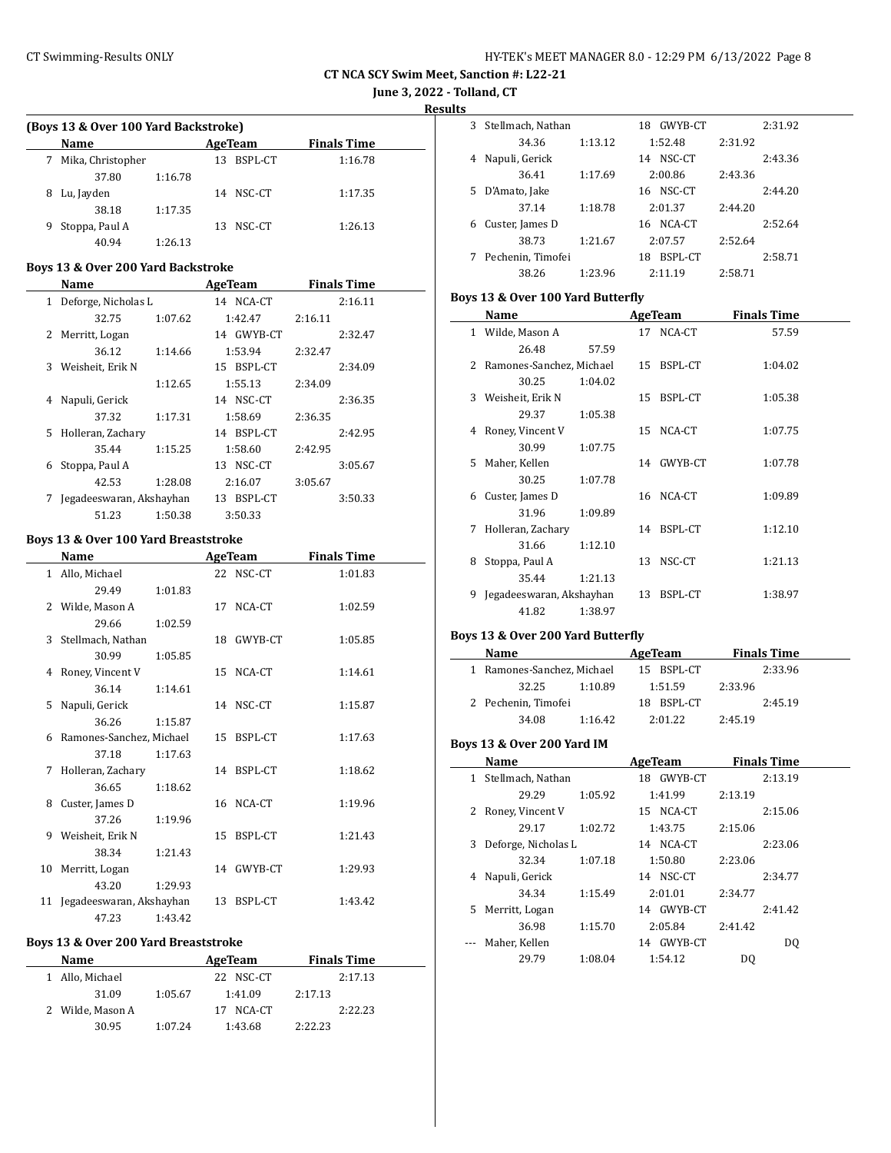**CT NCA SCY Swim Meet, Sanction #: L22-21 June 3, 2022 - Tolland, CT**

**Results**

 $\frac{1}{2}$ 

#### **(Boys 13 & Over 100 Yard Backstroke)**

|   | <b>Name</b>       |         |     | AgeTeam   | <b>Finals Time</b> |  |
|---|-------------------|---------|-----|-----------|--------------------|--|
|   | Mika, Christopher |         | 13. | BSPL-CT   | 1:16.78            |  |
|   | 37.80             | 1:16.78 |     |           |                    |  |
| 8 | Lu, Jayden        |         |     | 14 NSC-CT | 1:17.35            |  |
|   | 38.18             | 1:17.35 |     |           |                    |  |
| 9 | Stoppa, Paul A    |         | 13. | NSC-CT    | 1:26.13            |  |
|   | 40.94             | 1:26.13 |     |           |                    |  |

#### **Boys 13 & Over 200 Yard Backstroke**

|              | Name                     |         | AgeTeam    | <b>Finals Time</b> |  |
|--------------|--------------------------|---------|------------|--------------------|--|
| $\mathbf{1}$ | Deforge, Nicholas L      |         | 14 NCA-CT  | 2:16.11            |  |
|              | 32.75                    | 1:07.62 | 1:42.47    | 2:16.11            |  |
|              | 2 Merritt, Logan         |         | 14 GWYB-CT | 2:32.47            |  |
|              | 36.12                    | 1:14.66 | 1:53.94    | 2:32.47            |  |
| 3            | Weisheit, Erik N         |         | 15 BSPL-CT | 2:34.09            |  |
|              |                          | 1:12.65 | 1:55.13    | 2:34.09            |  |
| 4            | Napuli, Gerick           |         | 14 NSC-CT  | 2:36.35            |  |
|              | 37.32                    | 1:17.31 | 1:58.69    | 2:36.35            |  |
| 5.           | Holleran, Zachary        |         | 14 BSPL-CT | 2:42.95            |  |
|              | 35.44                    | 1:15.25 | 1:58.60    | 2:42.95            |  |
| 6            | Stoppa, Paul A           |         | 13 NSC-CT  | 3:05.67            |  |
|              | 42.53                    | 1:28.08 | 2:16.07    | 3:05.67            |  |
| 7            | Jegadeeswaran, Akshayhan |         | 13 BSPL-CT | 3:50.33            |  |
|              | 51.23                    | 1:50.38 | 3:50.33    |                    |  |

#### **Boys 13 & Over 100 Yard Breaststroke**

|    | Name                        |         | <b>AgeTeam</b> |            | <b>Finals Time</b> |
|----|-----------------------------|---------|----------------|------------|--------------------|
|    | 1 Allo, Michael             |         |                | 22 NSC-CT  | 1:01.83            |
|    | 29.49                       | 1:01.83 |                |            |                    |
|    | 2 Wilde, Mason A            |         | 17             | NCA-CT     | 1:02.59            |
|    | 29.66                       | 1:02.59 |                |            |                    |
| 3  | Stellmach, Nathan           |         | 18             | GWYB-CT    | 1:05.85            |
|    | 30.99                       | 1:05.85 |                |            |                    |
| 4  | Roney, Vincent V            |         | 15             | NCA-CT     | 1:14.61            |
|    | 36.14                       | 1:14.61 |                |            |                    |
| 5  | Napuli, Gerick              |         |                | 14 NSC-CT  | 1:15.87            |
|    | 36.26                       | 1:15.87 |                |            |                    |
|    | 6 Ramones-Sanchez, Michael  |         | 15             | BSPL-CT    | 1:17.63            |
|    | 37.18                       | 1:17.63 |                |            |                    |
| 7  | Holleran, Zachary           |         |                | 14 BSPL-CT | 1:18.62            |
|    | 36.65                       | 1:18.62 |                |            |                    |
| 8  | Custer, James D             |         | 16             | NCA-CT     | 1:19.96            |
|    | 37.26                       | 1:19.96 |                |            |                    |
| 9  | Weisheit, Erik N            |         | 15             | BSPL-CT    | 1:21.43            |
|    | 38.34                       | 1:21.43 |                |            |                    |
| 10 | Merritt, Logan              |         | 14             | GWYB-CT    | 1:29.93            |
|    | 43.20                       | 1:29.93 |                |            |                    |
|    | 11 Jegadeeswaran, Akshayhan |         | 13             | BSPL-CT    | 1:43.42            |
|    | 47.23                       | 1:43.42 |                |            |                    |

#### **Boys 13 & Over 200 Yard Breaststroke**

| <b>Name</b> |                  |         | AgeTeam   |         | <b>Finals Time</b> |
|-------------|------------------|---------|-----------|---------|--------------------|
|             | 1 Allo, Michael  |         | 22 NSC-CT |         | 2:17.13            |
|             | 31.09            | 1:05.67 | 1:41.09   | 2:17.13 |                    |
|             | 2 Wilde, Mason A |         | NCA-CT    |         | 2:22.23            |
|             | 30.95            | 1:07.24 | 1:43.68   | 2:22.23 |                    |

| 3 | Stellmach, Nathan |         | GWYB-CT<br>18 |         | 2:31.92 |
|---|-------------------|---------|---------------|---------|---------|
|   | 34.36             | 1:13.12 | 1:52.48       | 2:31.92 |         |
| 4 | Napuli, Gerick    |         | NSC-CT<br>14  |         | 2:43.36 |
|   | 36.41             | 1:17.69 | 2:00.86       | 2:43.36 |         |
| 5 | D'Amato, Jake     |         | NSC-CT<br>16  |         | 2:44.20 |
|   | 37.14             | 1:18.78 | 2:01.37       | 2:44.20 |         |
| 6 | Custer, James D   |         | NCA-CT<br>16  |         | 2:52.64 |
|   | 38.73             | 1:21.67 | 2:07.57       | 2:52.64 |         |
|   | Pechenin, Timofei |         | BSPL-CT<br>18 |         | 2:58.71 |
|   | 38.26             | 1:23.96 | 2:11.19       | 2:58.71 |         |

# **Boys 13 & Over 100 Yard Butterfly**

|    | Name                     |         |    | AgeTeam    | <b>Finals Time</b> |  |
|----|--------------------------|---------|----|------------|--------------------|--|
|    | 1 Wilde, Mason A         |         |    | 17 NCA-CT  | 57.59              |  |
|    | 26.48                    | 57.59   |    |            |                    |  |
| 2. | Ramones-Sanchez, Michael |         |    | 15 BSPL-CT | 1:04.02            |  |
|    | 30.25                    | 1:04.02 |    |            |                    |  |
| 3  | Weisheit, Erik N         |         |    | 15 BSPL-CT | 1:05.38            |  |
|    | 29.37                    | 1:05.38 |    |            |                    |  |
| 4  | Roney, Vincent V         |         |    | 15 NCA-CT  | 1:07.75            |  |
|    | 30.99                    | 1:07.75 |    |            |                    |  |
| 5. | Maher, Kellen            |         |    | 14 GWYB-CT | 1:07.78            |  |
|    | 30.25                    | 1:07.78 |    |            |                    |  |
| 6  | Custer, James D          |         |    | 16 NCA-CT  | 1:09.89            |  |
|    | 31.96                    | 1:09.89 |    |            |                    |  |
| 7  | Holleran, Zachary        |         |    | 14 BSPL-CT | 1:12.10            |  |
|    | 31.66                    | 1:12.10 |    |            |                    |  |
| 8  | Stoppa, Paul A           |         | 13 | NSC-CT     | 1:21.13            |  |
|    | 35.44                    | 1:21.13 |    |            |                    |  |
| 9  | Jegadeeswaran, Akshayhan |         | 13 | BSPL-CT    | 1:38.97            |  |
|    | 41.82                    | 1:38.97 |    |            |                    |  |

### **Boys 13 & Over 200 Yard Butterfly**

| Name                       |         | AgeTeam    |         | <b>Finals Time</b> |
|----------------------------|---------|------------|---------|--------------------|
| 1 Ramones-Sanchez, Michael |         | 15 BSPL-CT |         | 2:33.96            |
| 32.25                      | 1:10.89 | 1:51.59    | 2:33.96 |                    |
| 2 Pechenin, Timofei        |         | 18 BSPL-CT |         | 2:45.19            |
| 34.08                      | 1:16.42 | 2:01.22    | 2:45.19 |                    |

### **Boys 13 & Over 200 Yard IM**

|   | Name                |         | <b>AgeTeam</b> |         | <b>Finals Time</b> |
|---|---------------------|---------|----------------|---------|--------------------|
| 1 | Stellmach, Nathan   |         | 18 GWYB-CT     |         | 2:13.19            |
|   | 29.29               | 1:05.92 | 1:41.99        | 2:13.19 |                    |
| 2 | Roney, Vincent V    |         | 15 NCA-CT      |         | 2:15.06            |
|   | 29.17               | 1:02.72 | 1:43.75        | 2:15.06 |                    |
| 3 | Deforge, Nicholas L |         | 14 NCA-CT      |         | 2:23.06            |
|   | 32.34               | 1:07.18 | 1:50.80        | 2:23.06 |                    |
| 4 | Napuli, Gerick      |         | 14 NSC-CT      |         | 2:34.77            |
|   | 34.34               | 1:15.49 | 2:01.01        | 2:34.77 |                    |
|   | 5 Merritt, Logan    |         | 14 GWYB-CT     |         | 2:41.42            |
|   | 36.98               | 1:15.70 | 2:05.84        | 2:41.42 |                    |
|   | Maher, Kellen       |         | GWYB-CT<br>14  |         | D <sub>0</sub>     |
|   | 29.79               | 1:08.04 | 1:54.12        | DQ      |                    |